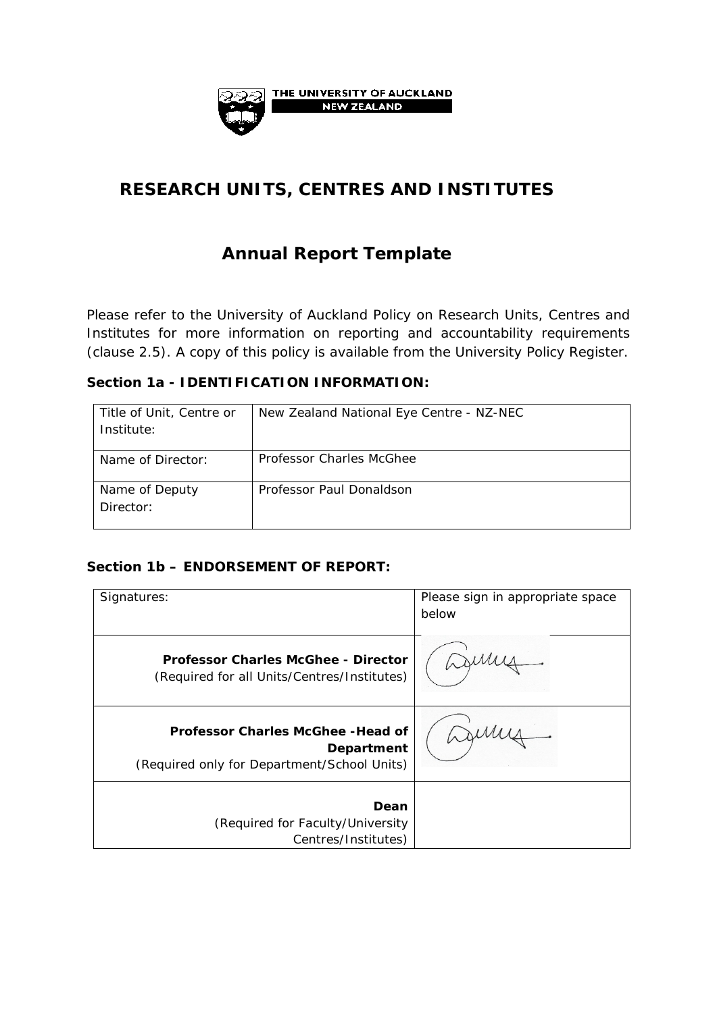

# **RESEARCH UNITS, CENTRES AND INSTITUTES**

# **Annual Report Template**

Please refer to the University of Auckland Policy on Research Units, Centres and Institutes for more information on reporting and accountability requirements (clause 2.5). A copy of this policy is available from the University Policy Register.

#### **Section 1a - IDENTIFICATION INFORMATION:**

| Title of Unit, Centre or<br>Institute: | New Zealand National Eye Centre - NZ-NEC |
|----------------------------------------|------------------------------------------|
| Name of Director:                      | <b>Professor Charles McGhee</b>          |
| Name of Deputy<br>Director:            | Professor Paul Donaldson                 |

#### **Section 1b – ENDORSEMENT OF REPORT:**

| Signatures:                                                                                            | Please sign in appropriate space<br>below |
|--------------------------------------------------------------------------------------------------------|-------------------------------------------|
| <b>Professor Charles McGhee - Director</b><br>(Required for all Units/Centres/Institutes)              |                                           |
| <b>Professor Charles McGhee - Head of</b><br>Department<br>(Required only for Department/School Units) |                                           |
| Dean<br>(Required for Faculty/University<br>Centres/Institutes)                                        |                                           |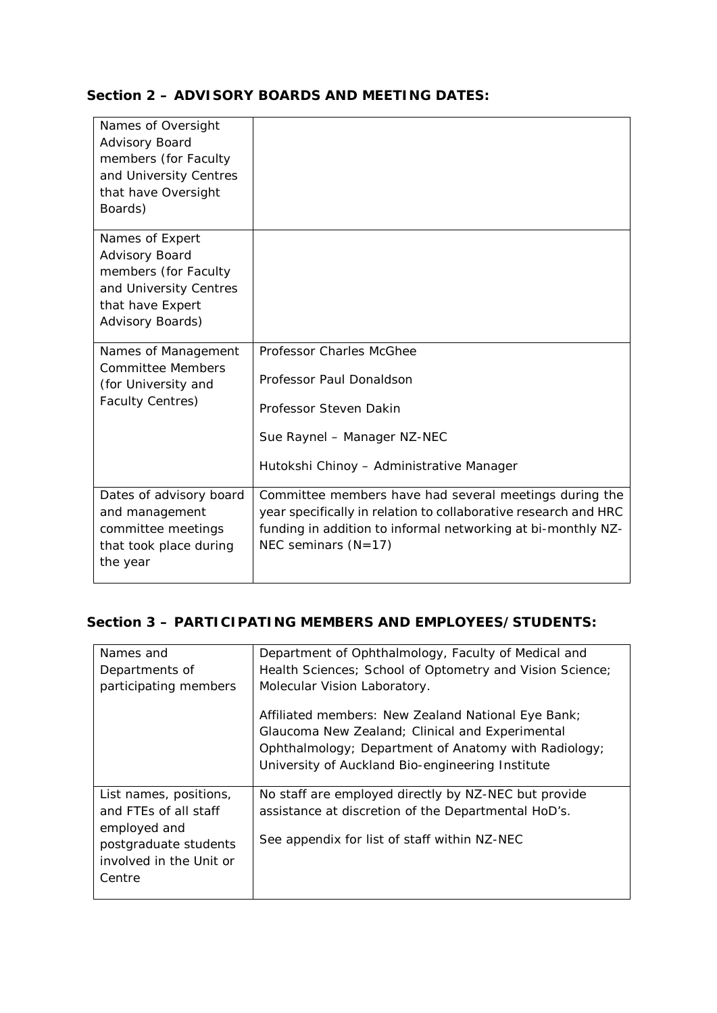#### **Section 2 – ADVISORY BOARDS AND MEETING DATES:**

| Names of Oversight<br>Advisory Board<br>members (for Faculty<br>and University Centres<br>that have Oversight<br>Boards)    |                                                                                                                                                                                                                    |
|-----------------------------------------------------------------------------------------------------------------------------|--------------------------------------------------------------------------------------------------------------------------------------------------------------------------------------------------------------------|
| Names of Expert<br>Advisory Board<br>members (for Faculty<br>and University Centres<br>that have Expert<br>Advisory Boards) |                                                                                                                                                                                                                    |
| Names of Management<br><b>Committee Members</b><br>(for University and<br><b>Faculty Centres)</b>                           | Professor Charles McGhee<br>Professor Paul Donaldson<br>Professor Steven Dakin<br>Sue Raynel - Manager NZ-NEC<br>Hutokshi Chinoy - Administrative Manager                                                          |
| Dates of advisory board<br>and management<br>committee meetings<br>that took place during<br>the year                       | Committee members have had several meetings during the<br>year specifically in relation to collaborative research and HRC<br>funding in addition to informal networking at bi-monthly NZ-<br>NEC seminars $(N=17)$ |

### **Section 3 – PARTICIPATING MEMBERS AND EMPLOYEES/STUDENTS:**

| Names and<br>Departments of<br>participating members                                                                          | Department of Ophthalmology, Faculty of Medical and<br>Health Sciences; School of Optometry and Vision Science;<br>Molecular Vision Laboratory.<br>Affiliated members: New Zealand National Eye Bank; |
|-------------------------------------------------------------------------------------------------------------------------------|-------------------------------------------------------------------------------------------------------------------------------------------------------------------------------------------------------|
|                                                                                                                               | Glaucoma New Zealand; Clinical and Experimental<br>Ophthalmology; Department of Anatomy with Radiology;<br>University of Auckland Bio-engineering Institute                                           |
| List names, positions,<br>and FTEs of all staff<br>employed and<br>postgraduate students<br>involved in the Unit or<br>Centre | No staff are employed directly by NZ-NEC but provide<br>assistance at discretion of the Departmental HoD's.<br>See appendix for list of staff within NZ-NEC                                           |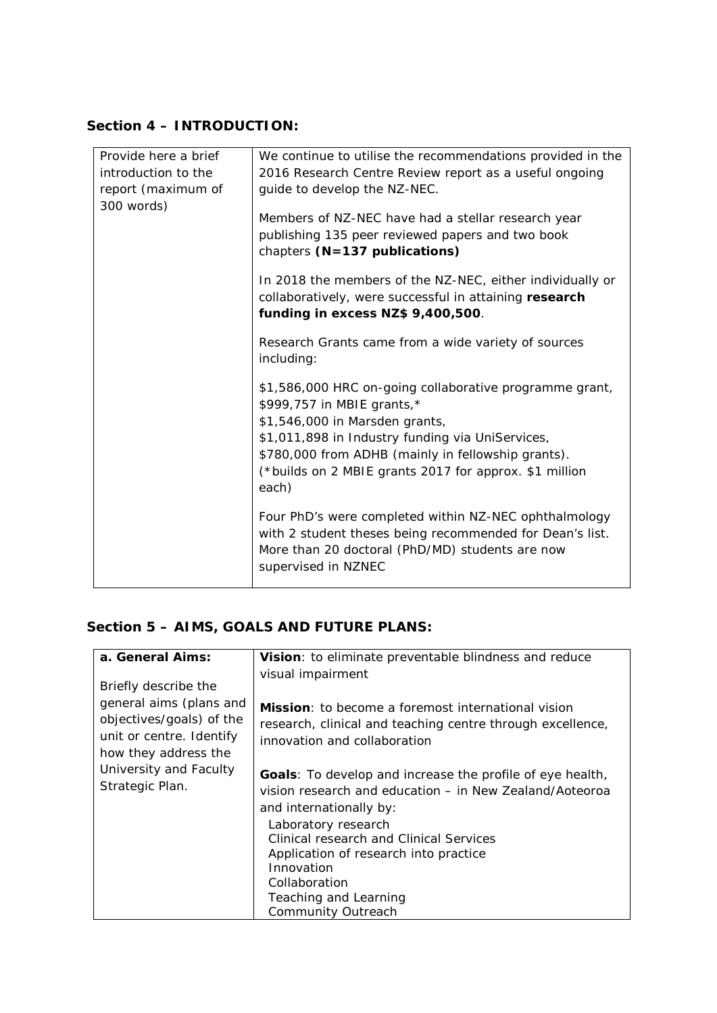### **Section 4 – INTRODUCTION:**

| Provide here a brief | We continue to utilise the recommendations provided in the |  |
|----------------------|------------------------------------------------------------|--|
| introduction to the  | 2016 Research Centre Review report as a useful ongoing     |  |
| report (maximum of   | guide to develop the NZ-NEC.                               |  |
| 300 words)           |                                                            |  |
|                      | Members of NZ-NEC have had a stellar research year         |  |
|                      | publishing 135 peer reviewed papers and two book           |  |
|                      | chapters $(N=137$ publications)                            |  |
|                      | In 2018 the members of the NZ-NEC, either individually or  |  |
|                      | collaboratively, were successful in attaining research     |  |
|                      | funding in excess NZ\$ 9,400,500.                          |  |
|                      |                                                            |  |
|                      | Research Grants came from a wide variety of sources        |  |
|                      | including:                                                 |  |
|                      | \$1,586,000 HRC on-going collaborative programme grant,    |  |
|                      | \$999,757 in MBIE grants,*                                 |  |
|                      | \$1,546,000 in Marsden grants,                             |  |
|                      | \$1,011,898 in Industry funding via UniServices,           |  |
|                      | \$780,000 from ADHB (mainly in fellowship grants).         |  |
|                      | (*builds on 2 MBIE grants 2017 for approx. \$1 million     |  |
|                      | each)                                                      |  |
|                      |                                                            |  |
|                      | Four PhD's were completed within NZ-NEC ophthalmology      |  |
|                      | with 2 student theses being recommended for Dean's list.   |  |
|                      | More than 20 doctoral (PhD/MD) students are now            |  |
|                      | supervised in NZNEC                                        |  |
|                      |                                                            |  |

## **Section 5 – AIMS, GOALS AND FUTURE PLANS:**

| a. General Aims:                                                                                                                                                             | Vision: to eliminate preventable blindness and reduce                                                                                                                                                                                                                                                                                   |
|------------------------------------------------------------------------------------------------------------------------------------------------------------------------------|-----------------------------------------------------------------------------------------------------------------------------------------------------------------------------------------------------------------------------------------------------------------------------------------------------------------------------------------|
| Briefly describe the<br>general aims (plans and<br>objectives/goals) of the<br>unit or centre. Identify<br>how they address the<br>University and Faculty<br>Strategic Plan. | visual impairment<br><b>Mission</b> : to become a foremost international vision<br>research, clinical and teaching centre through excellence,<br>innovation and collaboration<br><b>Goals:</b> To develop and increase the profile of eye health,<br>vision research and education – in New Zealand/Aoteoroa<br>and internationally by: |
|                                                                                                                                                                              | Laboratory research<br>Clinical research and Clinical Services<br>Application of research into practice<br>Innovation<br>Collaboration                                                                                                                                                                                                  |
|                                                                                                                                                                              | Teaching and Learning<br>Community Outreach                                                                                                                                                                                                                                                                                             |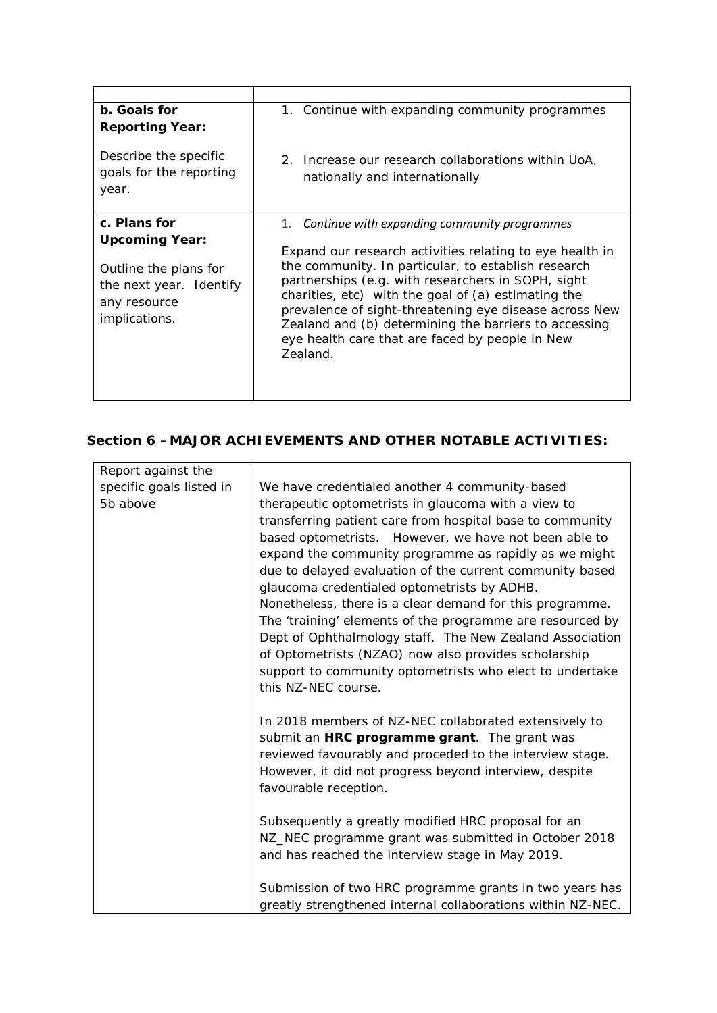| b. Goals for<br><b>Reporting Year:</b>                                                                     | 1. Continue with expanding community programmes                                                                                                                                                                                                                                                                                                                                                                |
|------------------------------------------------------------------------------------------------------------|----------------------------------------------------------------------------------------------------------------------------------------------------------------------------------------------------------------------------------------------------------------------------------------------------------------------------------------------------------------------------------------------------------------|
| Describe the specific<br>goals for the reporting<br>year.                                                  | 2. Increase our research collaborations within UoA,<br>nationally and internationally                                                                                                                                                                                                                                                                                                                          |
| c. Plans for                                                                                               | 1. Continue with expanding community programmes                                                                                                                                                                                                                                                                                                                                                                |
| <b>Upcoming Year:</b><br>Outline the plans for<br>the next year. Identify<br>any resource<br>implications. | Expand our research activities relating to eye health in<br>the community. In particular, to establish research<br>partnerships (e.g. with researchers in SOPH, sight<br>charities, etc) with the goal of (a) estimating the<br>prevalence of sight-threatening eye disease across New<br>Zealand and (b) determining the barriers to accessing<br>eye health care that are faced by people in New<br>Zealand. |

## **Section 6 –MAJOR ACHIEVEMENTS AND OTHER NOTABLE ACTIVITIES:**

| Report against the       |                                                             |
|--------------------------|-------------------------------------------------------------|
| specific goals listed in | We have credentialed another 4 community-based              |
| 5b above                 | therapeutic optometrists in glaucoma with a view to         |
|                          | transferring patient care from hospital base to community   |
|                          | based optometrists. However, we have not been able to       |
|                          | expand the community programme as rapidly as we might       |
|                          | due to delayed evaluation of the current community based    |
|                          | glaucoma credentialed optometrists by ADHB.                 |
|                          | Nonetheless, there is a clear demand for this programme.    |
|                          | The 'training' elements of the programme are resourced by   |
|                          | Dept of Ophthalmology staff. The New Zealand Association    |
|                          | of Optometrists (NZAO) now also provides scholarship        |
|                          | support to community optometrists who elect to undertake    |
|                          | this NZ-NEC course.                                         |
|                          |                                                             |
|                          | In 2018 members of NZ-NEC collaborated extensively to       |
|                          | submit an HRC programme grant. The grant was                |
|                          | reviewed favourably and proceded to the interview stage.    |
|                          | However, it did not progress beyond interview, despite      |
|                          | favourable reception.                                       |
|                          |                                                             |
|                          | Subsequently a greatly modified HRC proposal for an         |
|                          | NZ_NEC programme grant was submitted in October 2018        |
|                          | and has reached the interview stage in May 2019.            |
|                          |                                                             |
|                          | Submission of two HRC programme grants in two years has     |
|                          | greatly strengthened internal collaborations within NZ-NEC. |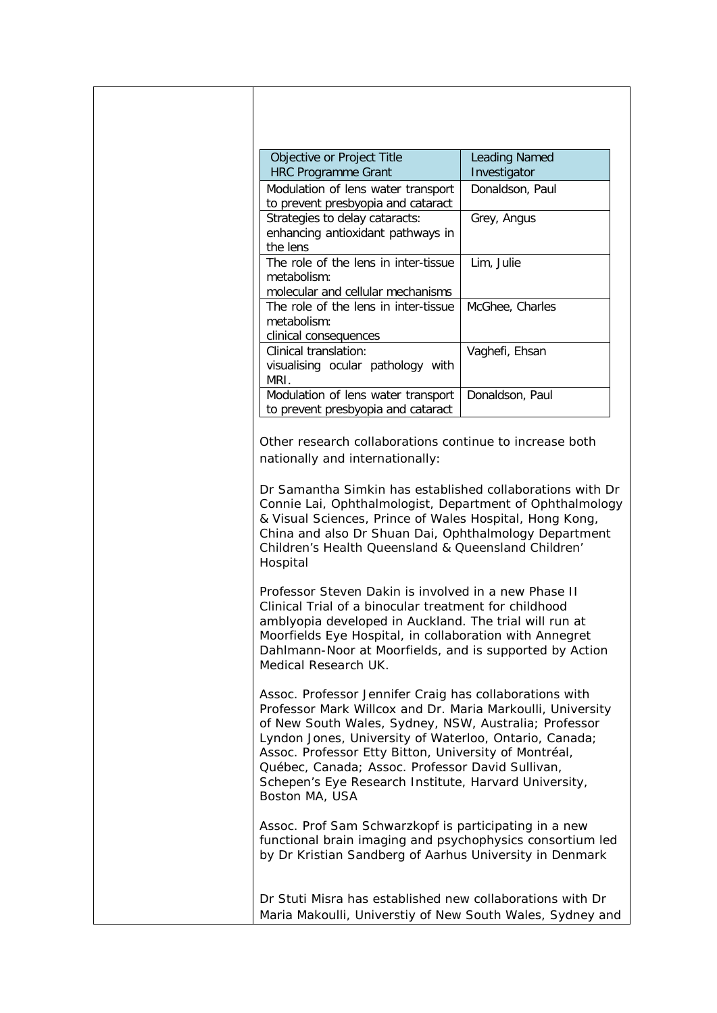| Objective or Project Title<br><b>HRC Programme Grant</b>                                                                                                                                                                                                                                                                                                                                                                         | <b>Leading Named</b><br>Investigator |
|----------------------------------------------------------------------------------------------------------------------------------------------------------------------------------------------------------------------------------------------------------------------------------------------------------------------------------------------------------------------------------------------------------------------------------|--------------------------------------|
| Modulation of lens water transport<br>to prevent presbyopia and cataract                                                                                                                                                                                                                                                                                                                                                         | Donaldson, Paul                      |
| Strategies to delay cataracts:<br>enhancing antioxidant pathways in<br>the lens                                                                                                                                                                                                                                                                                                                                                  | Grey, Angus                          |
| The role of the lens in inter-tissue<br>metabolism:<br>molecular and cellular mechanisms                                                                                                                                                                                                                                                                                                                                         | Lim, Julie                           |
| The role of the lens in inter-tissue<br>metabolism:<br>clinical consequences                                                                                                                                                                                                                                                                                                                                                     | McGhee, Charles                      |
| Clinical translation:<br>visualising ocular pathology with<br>MRI.                                                                                                                                                                                                                                                                                                                                                               | Vaghefi, Ehsan                       |
| Modulation of lens water transport<br>to prevent presbyopia and cataract                                                                                                                                                                                                                                                                                                                                                         | Donaldson, Paul                      |
| Other research collaborations continue to increase both<br>nationally and internationally:                                                                                                                                                                                                                                                                                                                                       |                                      |
| Dr Samantha Simkin has established collaborations with Dr<br>Connie Lai, Ophthalmologist, Department of Ophthalmology<br>& Visual Sciences, Prince of Wales Hospital, Hong Kong,<br>China and also Dr Shuan Dai, Ophthalmology Department<br>Children's Health Queensland & Queensland Children'<br>Hospital                                                                                                                     |                                      |
| Professor Steven Dakin is involved in a new Phase II<br>Clinical Trial of a binocular treatment for childhood<br>amblyopia developed in Auckland. The trial will run at<br>Moorfields Eye Hospital, in collaboration with Annegret<br>Dahlmann-Noor at Moorfields, and is supported by Action<br>Medical Research UK.                                                                                                            |                                      |
| Assoc. Professor Jennifer Craig has collaborations with<br>Professor Mark Willcox and Dr. Maria Markoulli, University<br>of New South Wales, Sydney, NSW, Australia; Professor<br>Lyndon Jones, University of Waterloo, Ontario, Canada;<br>Assoc. Professor Etty Bitton, University of Montréal,<br>Québec, Canada; Assoc. Professor David Sullivan,<br>Schepen's Eye Research Institute, Harvard University,<br>Boston MA, USA |                                      |
| Assoc. Prof Sam Schwarzkopf is participating in a new<br>functional brain imaging and psychophysics consortium led<br>by Dr Kristian Sandberg of Aarhus University in Denmark                                                                                                                                                                                                                                                    |                                      |
| Dr Stuti Misra has established new collaborations with Dr<br>Maria Makoulli, Universtiy of New South Wales, Sydney and                                                                                                                                                                                                                                                                                                           |                                      |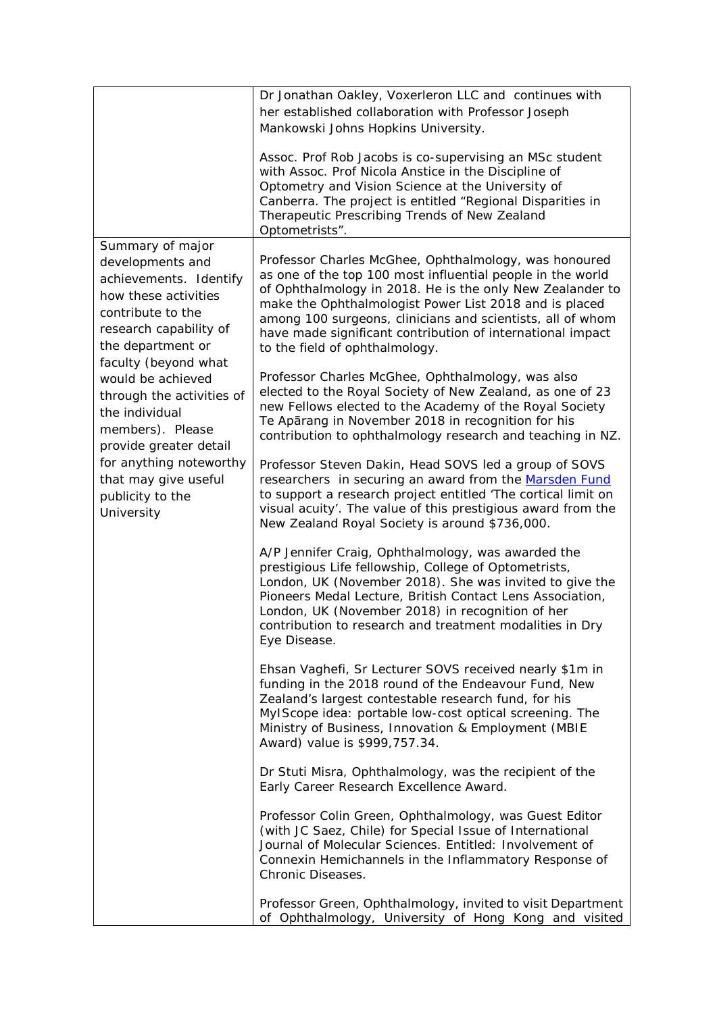|                                                                                                                                                                                                                                                                                                                                                                                           | Dr Jonathan Oakley, Voxerleron LLC and continues with<br>her established collaboration with Professor Joseph<br>Mankowski Johns Hopkins University.<br>Assoc. Prof Rob Jacobs is co-supervising an MSc student<br>with Assoc. Prof Nicola Anstice in the Discipline of<br>Optometry and Vision Science at the University of<br>Canberra. The project is entitled "Regional Disparities in<br>Therapeutic Prescribing Trends of New Zealand<br>Optometrists". |
|-------------------------------------------------------------------------------------------------------------------------------------------------------------------------------------------------------------------------------------------------------------------------------------------------------------------------------------------------------------------------------------------|--------------------------------------------------------------------------------------------------------------------------------------------------------------------------------------------------------------------------------------------------------------------------------------------------------------------------------------------------------------------------------------------------------------------------------------------------------------|
| Summary of major<br>developments and<br>achievements. Identify<br>how these activities<br>contribute to the<br>research capability of<br>the department or<br>faculty (beyond what<br>would be achieved<br>through the activities of<br>the individual<br>members). Please<br>provide greater detail<br>for anything noteworthy<br>that may give useful<br>publicity to the<br>University | Professor Charles McGhee, Ophthalmology, was honoured<br>as one of the top 100 most influential people in the world<br>of Ophthalmology in 2018. He is the only New Zealander to<br>make the Ophthalmologist Power List 2018 and is placed<br>among 100 surgeons, clinicians and scientists, all of whom<br>have made significant contribution of international impact<br>to the field of ophthalmology.                                                     |
|                                                                                                                                                                                                                                                                                                                                                                                           | Professor Charles McGhee, Ophthalmology, was also<br>elected to the Royal Society of New Zealand, as one of 23<br>new Fellows elected to the Academy of the Royal Society<br>Te Apārang in November 2018 in recognition for his<br>contribution to ophthalmology research and teaching in NZ.                                                                                                                                                                |
|                                                                                                                                                                                                                                                                                                                                                                                           | Professor Steven Dakin, Head SOVS led a group of SOVS<br>researchers in securing an award from the Marsden Fund<br>to support a research project entitled 'The cortical limit on<br>visual acuity'. The value of this prestigious award from the<br>New Zealand Royal Society is around \$736,000.                                                                                                                                                           |
|                                                                                                                                                                                                                                                                                                                                                                                           | A/P Jennifer Craig, Ophthalmology, was awarded the<br>prestigious Life fellowship, College of Optometrists,<br>London, UK (November 2018). She was invited to give the<br>Pioneers Medal Lecture, British Contact Lens Association,<br>London, UK (November 2018) in recognition of her<br>contribution to research and treatment modalities in Dry<br>Eye Disease.                                                                                          |
|                                                                                                                                                                                                                                                                                                                                                                                           | Ehsan Vaghefi, Sr Lecturer SOVS received nearly \$1m in<br>funding in the 2018 round of the Endeavour Fund, New<br>Zealand's largest contestable research fund, for his<br>MyIScope idea: portable low-cost optical screening. The<br>Ministry of Business, Innovation & Employment (MBIE<br>Award) value is \$999,757.34.                                                                                                                                   |
|                                                                                                                                                                                                                                                                                                                                                                                           | Dr Stuti Misra, Ophthalmology, was the recipient of the<br>Early Career Research Excellence Award.                                                                                                                                                                                                                                                                                                                                                           |
|                                                                                                                                                                                                                                                                                                                                                                                           | Professor Colin Green, Ophthalmology, was Guest Editor<br>(with JC Saez, Chile) for Special Issue of International<br>Journal of Molecular Sciences. Entitled: Involvement of<br>Connexin Hemichannels in the Inflammatory Response of<br>Chronic Diseases.                                                                                                                                                                                                  |
|                                                                                                                                                                                                                                                                                                                                                                                           | Professor Green, Ophthalmology, invited to visit Department<br>of Ophthalmology, University of Hong Kong and visited                                                                                                                                                                                                                                                                                                                                         |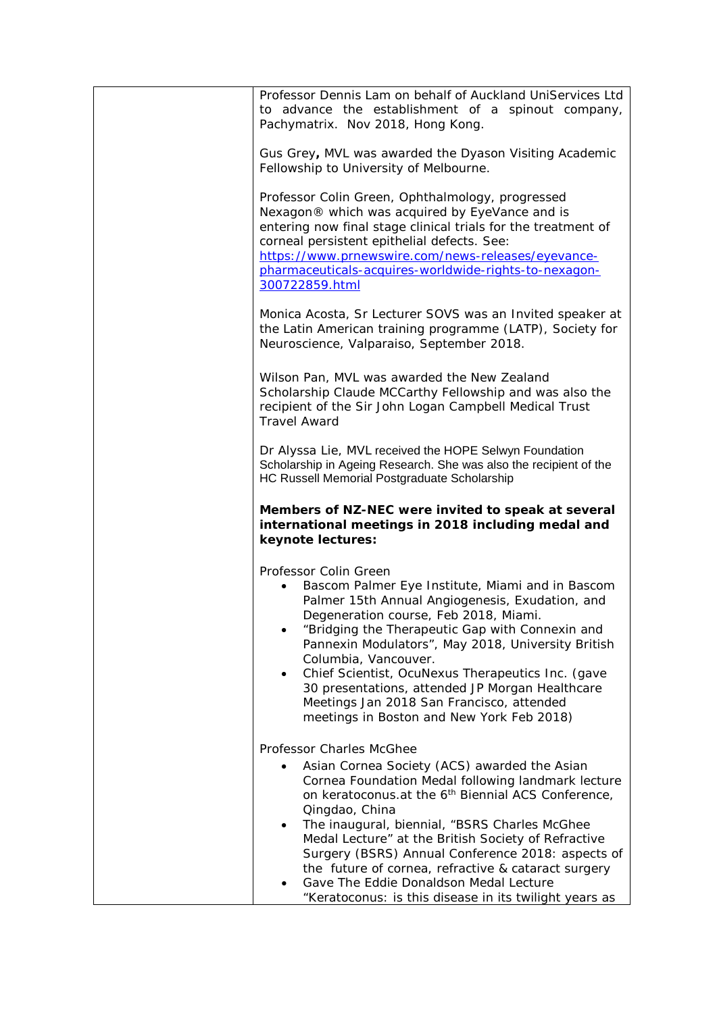| Professor Dennis Lam on behalf of Auckland UniServices Ltd<br>to advance the establishment of a spinout company,<br>Pachymatrix. Nov 2018, Hong Kong.                                                                                                                                                                                                                                                                                                                                                                                                                |
|----------------------------------------------------------------------------------------------------------------------------------------------------------------------------------------------------------------------------------------------------------------------------------------------------------------------------------------------------------------------------------------------------------------------------------------------------------------------------------------------------------------------------------------------------------------------|
| Gus Grey, MVL was awarded the Dyason Visiting Academic<br>Fellowship to University of Melbourne.                                                                                                                                                                                                                                                                                                                                                                                                                                                                     |
| Professor Colin Green, Ophthalmology, progressed<br>Nexagon® which was acquired by EyeVance and is<br>entering now final stage clinical trials for the treatment of<br>corneal persistent epithelial defects. See:<br>https://www.prnewswire.com/news-releases/eyevance-<br>pharmaceuticals-acquires-worldwide-rights-to-nexagon-<br>300722859.html                                                                                                                                                                                                                  |
| Monica Acosta, Sr Lecturer SOVS was an Invited speaker at<br>the Latin American training programme (LATP), Society for<br>Neuroscience, Valparaiso, September 2018.                                                                                                                                                                                                                                                                                                                                                                                                  |
| Wilson Pan, MVL was awarded the New Zealand<br>Scholarship Claude MCCarthy Fellowship and was also the<br>recipient of the Sir John Logan Campbell Medical Trust<br><b>Travel Award</b>                                                                                                                                                                                                                                                                                                                                                                              |
| Dr Alyssa Lie, MVL received the HOPE Selwyn Foundation<br>Scholarship in Ageing Research. She was also the recipient of the<br>HC Russell Memorial Postgraduate Scholarship                                                                                                                                                                                                                                                                                                                                                                                          |
| Members of NZ-NEC were invited to speak at several<br>international meetings in 2018 including medal and<br>keynote lectures:                                                                                                                                                                                                                                                                                                                                                                                                                                        |
| Professor Colin Green<br>Bascom Palmer Eye Institute, Miami and in Bascom<br>Palmer 15th Annual Angiogenesis, Exudation, and<br>Degeneration course, Feb 2018, Miami.<br>"Bridging the Therapeutic Gap with Connexin and<br>Pannexin Modulators", May 2018, University British<br>Columbia, Vancouver.<br>Chief Scientist, OcuNexus Therapeutics Inc. (gave<br>$\bullet$<br>30 presentations, attended JP Morgan Healthcare<br>Meetings Jan 2018 San Francisco, attended<br>meetings in Boston and New York Feb 2018)                                                |
| Professor Charles McGhee<br>Asian Cornea Society (ACS) awarded the Asian<br>$\bullet$<br>Cornea Foundation Medal following landmark lecture<br>on keratoconus.at the 6 <sup>th</sup> Biennial ACS Conference,<br>Qingdao, China<br>The inaugural, biennial, "BSRS Charles McGhee<br>$\bullet$<br>Medal Lecture" at the British Society of Refractive<br>Surgery (BSRS) Annual Conference 2018: aspects of<br>the future of cornea, refractive & cataract surgery<br>Gave The Eddie Donaldson Medal Lecture<br>"Keratoconus: is this disease in its twilight years as |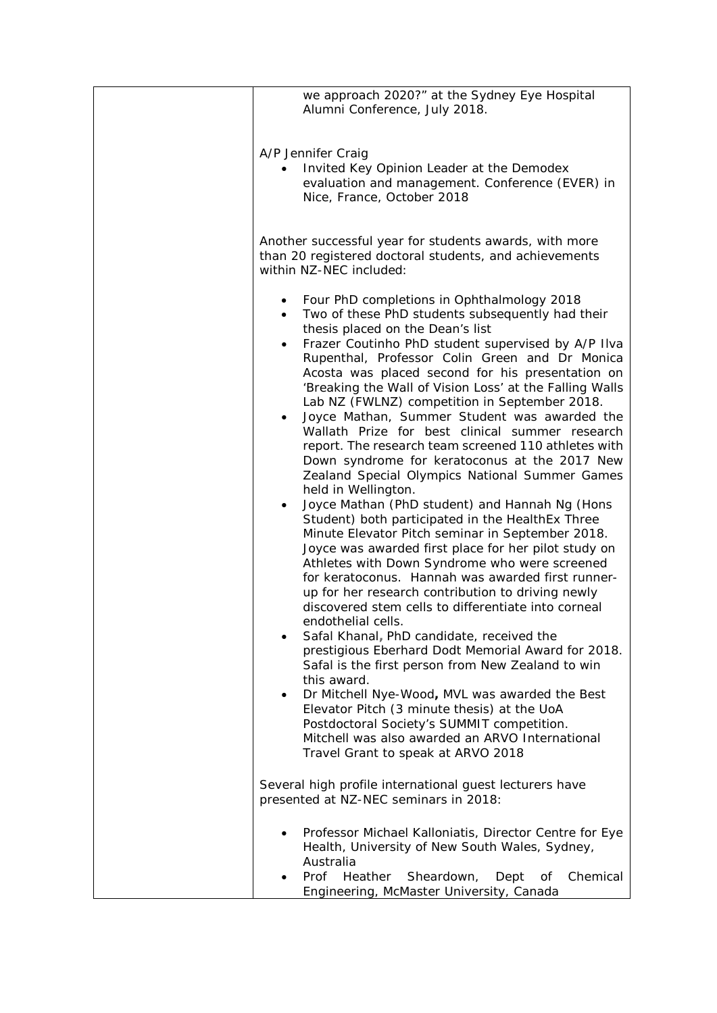| we approach 2020?" at the Sydney Eye Hospital<br>Alumni Conference, July 2018.                                                                                                                                                                                                                                                                                                                                                                                                                                                                                                                                                                                                                                                                                                                                                                                                                                                                                                                                                                                                                                                                                                                                                                                                                                                                                                                                                                                                                                                                                                                      |
|-----------------------------------------------------------------------------------------------------------------------------------------------------------------------------------------------------------------------------------------------------------------------------------------------------------------------------------------------------------------------------------------------------------------------------------------------------------------------------------------------------------------------------------------------------------------------------------------------------------------------------------------------------------------------------------------------------------------------------------------------------------------------------------------------------------------------------------------------------------------------------------------------------------------------------------------------------------------------------------------------------------------------------------------------------------------------------------------------------------------------------------------------------------------------------------------------------------------------------------------------------------------------------------------------------------------------------------------------------------------------------------------------------------------------------------------------------------------------------------------------------------------------------------------------------------------------------------------------------|
| A/P Jennifer Craig<br>Invited Key Opinion Leader at the Demodex<br>evaluation and management. Conference (EVER) in<br>Nice, France, October 2018                                                                                                                                                                                                                                                                                                                                                                                                                                                                                                                                                                                                                                                                                                                                                                                                                                                                                                                                                                                                                                                                                                                                                                                                                                                                                                                                                                                                                                                    |
| Another successful year for students awards, with more<br>than 20 registered doctoral students, and achievements<br>within NZ-NEC included:                                                                                                                                                                                                                                                                                                                                                                                                                                                                                                                                                                                                                                                                                                                                                                                                                                                                                                                                                                                                                                                                                                                                                                                                                                                                                                                                                                                                                                                         |
| Four PhD completions in Ophthalmology 2018<br>$\bullet$<br>Two of these PhD students subsequently had their<br>$\bullet$<br>thesis placed on the Dean's list<br>Frazer Coutinho PhD student supervised by A/P IIva<br>$\bullet$<br>Rupenthal, Professor Colin Green and Dr Monica<br>Acosta was placed second for his presentation on<br>'Breaking the Wall of Vision Loss' at the Falling Walls<br>Lab NZ (FWLNZ) competition in September 2018.<br>Joyce Mathan, Summer Student was awarded the<br>$\bullet$<br>Wallath Prize for best clinical summer research<br>report. The research team screened 110 athletes with<br>Down syndrome for keratoconus at the 2017 New<br>Zealand Special Olympics National Summer Games<br>held in Wellington.<br>Joyce Mathan (PhD student) and Hannah Ng (Hons<br>Student) both participated in the HealthEx Three<br>Minute Elevator Pitch seminar in September 2018.<br>Joyce was awarded first place for her pilot study on<br>Athletes with Down Syndrome who were screened<br>for keratoconus. Hannah was awarded first runner-<br>up for her research contribution to driving newly<br>discovered stem cells to differentiate into corneal<br>endothelial cells.<br>Safal Khanal, PhD candidate, received the<br>prestigious Eberhard Dodt Memorial Award for 2018.<br>Safal is the first person from New Zealand to win<br>this award.<br>Dr Mitchell Nye-Wood, MVL was awarded the Best<br>$\bullet$<br>Elevator Pitch (3 minute thesis) at the UoA<br>Postdoctoral Society's SUMMIT competition.<br>Mitchell was also awarded an ARVO International |
| Travel Grant to speak at ARVO 2018<br>Several high profile international guest lecturers have<br>presented at NZ-NEC seminars in 2018:                                                                                                                                                                                                                                                                                                                                                                                                                                                                                                                                                                                                                                                                                                                                                                                                                                                                                                                                                                                                                                                                                                                                                                                                                                                                                                                                                                                                                                                              |
| Professor Michael Kalloniatis, Director Centre for Eye<br>Health, University of New South Wales, Sydney,<br>Australia<br>Chemical<br>Prof<br>Heather<br>Sheardown,<br>Dept<br>Οf<br>Engineering, McMaster University, Canada                                                                                                                                                                                                                                                                                                                                                                                                                                                                                                                                                                                                                                                                                                                                                                                                                                                                                                                                                                                                                                                                                                                                                                                                                                                                                                                                                                        |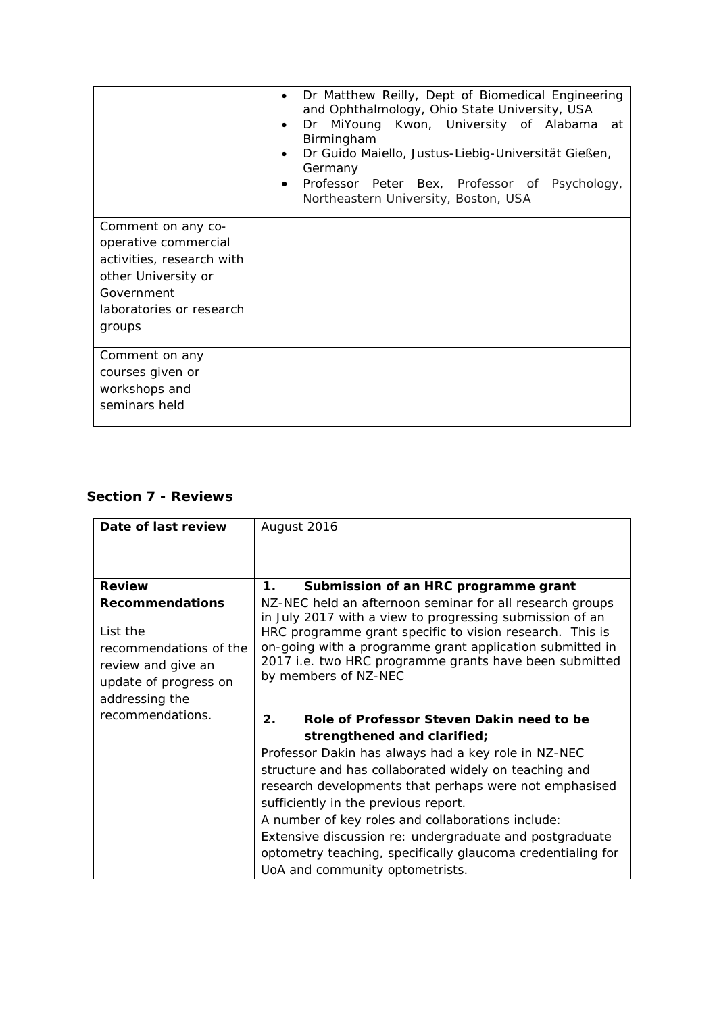|                                                                                                                                                    | Dr Matthew Reilly, Dept of Biomedical Engineering<br>and Ophthalmology, Ohio State University, USA<br>Dr MiYoung Kwon, University of Alabama at<br>$\bullet$<br>Birmingham<br>Dr Guido Maiello, Justus-Liebig-Universität Gießen,<br>$\bullet$<br>Germany<br>Professor Peter Bex, Professor of Psychology,<br>$\bullet$<br>Northeastern University, Boston, USA |
|----------------------------------------------------------------------------------------------------------------------------------------------------|-----------------------------------------------------------------------------------------------------------------------------------------------------------------------------------------------------------------------------------------------------------------------------------------------------------------------------------------------------------------|
| Comment on any co-<br>operative commercial<br>activities, research with<br>other University or<br>Government<br>laboratories or research<br>groups |                                                                                                                                                                                                                                                                                                                                                                 |
| Comment on any<br>courses given or<br>workshops and<br>seminars held                                                                               |                                                                                                                                                                                                                                                                                                                                                                 |

## **Section 7 - Reviews**

| Date of last review                                                                                 | August 2016                                                                                                                                                                                                                                                        |
|-----------------------------------------------------------------------------------------------------|--------------------------------------------------------------------------------------------------------------------------------------------------------------------------------------------------------------------------------------------------------------------|
|                                                                                                     |                                                                                                                                                                                                                                                                    |
| <b>Review</b>                                                                                       | 1.<br>Submission of an HRC programme grant                                                                                                                                                                                                                         |
| <b>Recommendations</b>                                                                              | NZ-NEC held an afternoon seminar for all research groups                                                                                                                                                                                                           |
| List the<br>recommendations of the<br>review and give an<br>update of progress on<br>addressing the | in July 2017 with a view to progressing submission of an<br>HRC programme grant specific to vision research. This is<br>on-going with a programme grant application submitted in<br>2017 i.e. two HRC programme grants have been submitted<br>by members of NZ-NEC |
| recommendations.                                                                                    | 2.<br>Role of Professor Steven Dakin need to be                                                                                                                                                                                                                    |
|                                                                                                     | strengthened and clarified;                                                                                                                                                                                                                                        |
|                                                                                                     | Professor Dakin has always had a key role in NZ-NEC                                                                                                                                                                                                                |
|                                                                                                     | structure and has collaborated widely on teaching and                                                                                                                                                                                                              |
|                                                                                                     | research developments that perhaps were not emphasised                                                                                                                                                                                                             |
|                                                                                                     | sufficiently in the previous report.                                                                                                                                                                                                                               |
|                                                                                                     | A number of key roles and collaborations include:                                                                                                                                                                                                                  |
|                                                                                                     | Extensive discussion re: undergraduate and postgraduate                                                                                                                                                                                                            |
|                                                                                                     | optometry teaching, specifically glaucoma credentialing for                                                                                                                                                                                                        |
|                                                                                                     | UoA and community optometrists.                                                                                                                                                                                                                                    |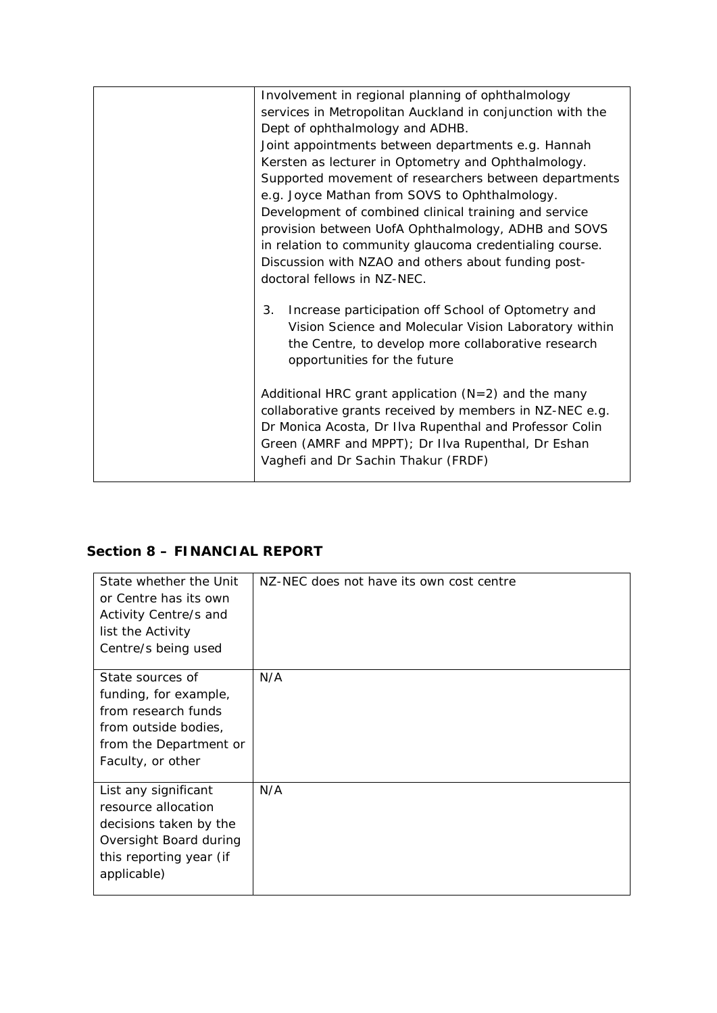| Involvement in regional planning of ophthalmology         |
|-----------------------------------------------------------|
| services in Metropolitan Auckland in conjunction with the |
| Dept of ophthalmology and ADHB.                           |
| Joint appointments between departments e.g. Hannah        |
| Kersten as lecturer in Optometry and Ophthalmology.       |
| Supported movement of researchers between departments     |
| e.g. Joyce Mathan from SOVS to Ophthalmology.             |
| Development of combined clinical training and service     |
| provision between UofA Ophthalmology, ADHB and SOVS       |
| in relation to community glaucoma credentialing course.   |
| Discussion with NZAO and others about funding post-       |
| doctoral fellows in NZ-NEC.                               |
|                                                           |
| 3.<br>Increase participation off School of Optometry and  |
| Vision Science and Molecular Vision Laboratory within     |
| the Centre, to develop more collaborative research        |
| opportunities for the future                              |
|                                                           |
| Additional HRC grant application $(N=2)$ and the many     |
| collaborative grants received by members in NZ-NEC e.g.   |
| Dr Monica Acosta, Dr IIva Rupenthal and Professor Colin   |
| Green (AMRF and MPPT); Dr IIva Rupenthal, Dr Eshan        |
| Vaghefi and Dr Sachin Thakur (FRDF)                       |
|                                                           |

# **Section 8 – FINANCIAL REPORT**

| State whether the Unit<br>or Centre has its own<br>Activity Centre/s and<br>list the Activity<br>Centre/s being used                      | NZ-NEC does not have its own cost centre |
|-------------------------------------------------------------------------------------------------------------------------------------------|------------------------------------------|
| State sources of<br>funding, for example,<br>from research funds<br>from outside bodies,<br>from the Department or<br>Faculty, or other   | N/A                                      |
| List any significant<br>resource allocation<br>decisions taken by the<br>Oversight Board during<br>this reporting year (if<br>applicable) | N/A                                      |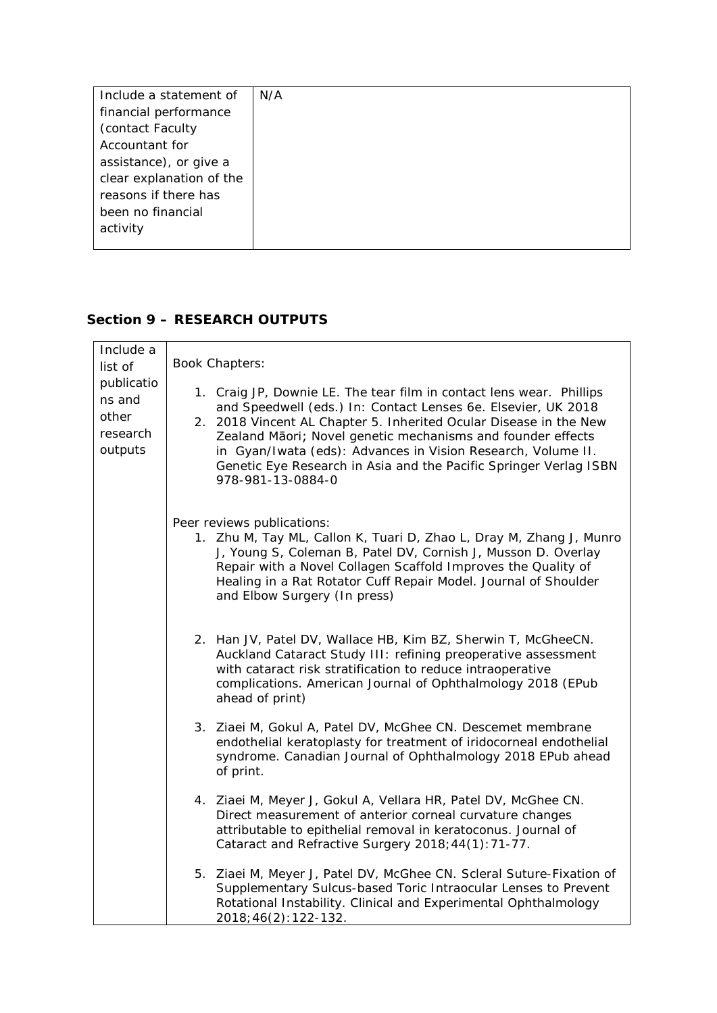| Include a statement of   | N/A |
|--------------------------|-----|
| financial performance    |     |
| (contact Faculty)        |     |
| Accountant for           |     |
| assistance), or give a   |     |
| clear explanation of the |     |
| reasons if there has     |     |
| been no financial        |     |
| activity                 |     |
|                          |     |

## **Section 9 – RESEARCH OUTPUTS**

| Include a<br>list of<br>publicatio<br>ns and<br>other<br>research<br>outputs | <b>Book Chapters:</b>                                                                                                                                                                                                                                                                                                                                                                                                               |
|------------------------------------------------------------------------------|-------------------------------------------------------------------------------------------------------------------------------------------------------------------------------------------------------------------------------------------------------------------------------------------------------------------------------------------------------------------------------------------------------------------------------------|
|                                                                              | 1. Craig JP, Downie LE. The tear film in contact lens wear. Phillips<br>and Speedwell (eds.) In: Contact Lenses 6e. Elsevier, UK 2018<br>2. 2018 Vincent AL Chapter 5. Inherited Ocular Disease in the New<br>Zealand Māori; Novel genetic mechanisms and founder effects<br>in Gyan/Iwata (eds): Advances in Vision Research, Volume II.<br>Genetic Eye Research in Asia and the Pacific Springer Verlag ISBN<br>978-981-13-0884-0 |
|                                                                              | Peer reviews publications:<br>1. Zhu M, Tay ML, Callon K, Tuari D, Zhao L, Dray M, Zhang J, Munro<br>J, Young S, Coleman B, Patel DV, Cornish J, Musson D. Overlay<br>Repair with a Novel Collagen Scaffold Improves the Quality of<br>Healing in a Rat Rotator Cuff Repair Model. Journal of Shoulder<br>and Elbow Surgery (In press)                                                                                              |
|                                                                              | 2. Han JV, Patel DV, Wallace HB, Kim BZ, Sherwin T, McGheeCN.<br>Auckland Cataract Study III: refining preoperative assessment<br>with cataract risk stratification to reduce intraoperative<br>complications. American Journal of Ophthalmology 2018 (EPub<br>ahead of print)                                                                                                                                                      |
|                                                                              | 3. Ziaei M, Gokul A, Patel DV, McGhee CN. Descemet membrane<br>endothelial keratoplasty for treatment of iridocorneal endothelial<br>syndrome. Canadian Journal of Ophthalmology 2018 EPub ahead<br>of print.                                                                                                                                                                                                                       |
|                                                                              | 4. Ziaei M, Meyer J, Gokul A, Vellara HR, Patel DV, McGhee CN.<br>Direct measurement of anterior corneal curvature changes<br>attributable to epithelial removal in keratoconus. Journal of<br>Cataract and Refractive Surgery 2018; 44(1): 71-77.                                                                                                                                                                                  |
|                                                                              | 5. Ziaei M, Meyer J, Patel DV, McGhee CN. Scleral Suture-Fixation of<br>Supplementary Sulcus-based Toric Intraocular Lenses to Prevent<br>Rotational Instability. Clinical and Experimental Ophthalmology<br>2018; 46(2): 122-132.                                                                                                                                                                                                  |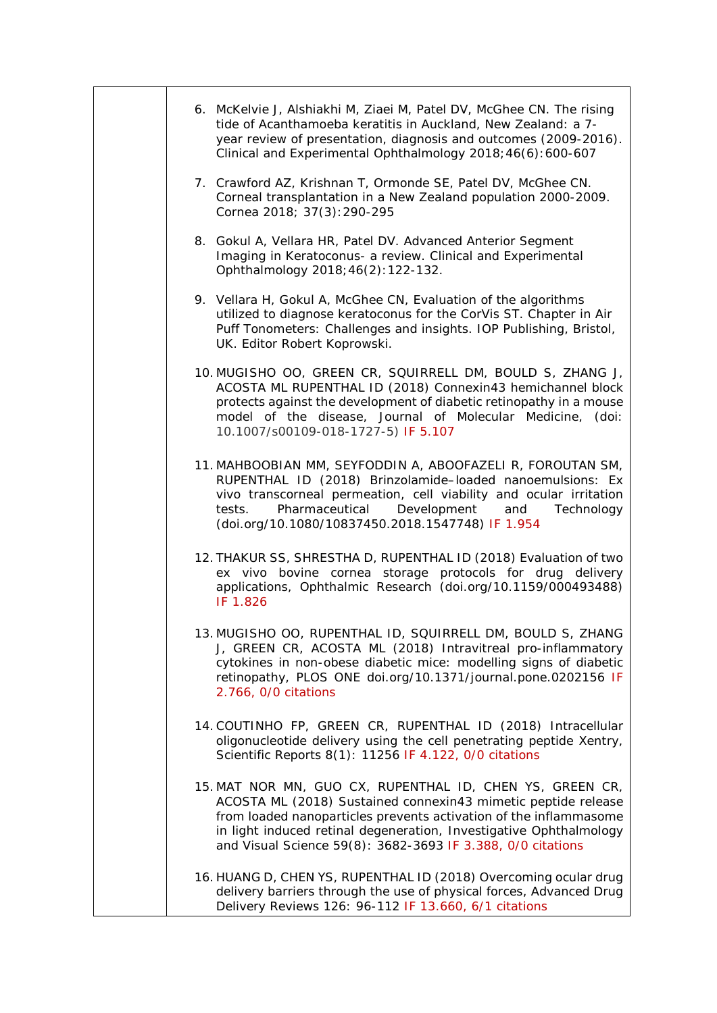| 6. McKelvie J, Alshiakhi M, Ziaei M, Patel DV, McGhee CN. The rising<br>tide of Acanthamoeba keratitis in Auckland, New Zealand: a 7-<br>year review of presentation, diagnosis and outcomes (2009-2016).<br>Clinical and Experimental Ophthalmology 2018; 46(6): 600-607                                                           |
|-------------------------------------------------------------------------------------------------------------------------------------------------------------------------------------------------------------------------------------------------------------------------------------------------------------------------------------|
| 7. Crawford AZ, Krishnan T, Ormonde SE, Patel DV, McGhee CN.<br>Corneal transplantation in a New Zealand population 2000-2009.<br>Cornea 2018; 37(3): 290-295                                                                                                                                                                       |
| 8. Gokul A, Vellara HR, Patel DV. Advanced Anterior Segment<br>Imaging in Keratoconus- a review. Clinical and Experimental<br>Ophthalmology 2018; 46(2): 122-132.                                                                                                                                                                   |
| 9. Vellara H, Gokul A, McGhee CN, Evaluation of the algorithms<br>utilized to diagnose keratoconus for the CorVis ST. Chapter in Air<br>Puff Tonometers: Challenges and insights. IOP Publishing, Bristol,<br>UK. Editor Robert Koprowski.                                                                                          |
| 10. MUGISHO OO, GREEN CR, SQUIRRELL DM, BOULD S, ZHANG J,<br>ACOSTA ML RUPENTHAL ID (2018) Connexin43 hemichannel block<br>protects against the development of diabetic retinopathy in a mouse<br>model of the disease, Journal of Molecular Medicine, (doi:<br>10.1007/s00109-018-1727-5) IF 5.107                                 |
| 11. MAHBOOBIAN MM, SEYFODDIN A, ABOOFAZELI R, FOROUTAN SM,<br>RUPENTHAL ID (2018) Brinzolamide-loaded nanoemulsions: Ex<br>vivo transcorneal permeation, cell viability and ocular irritation<br>Pharmaceutical<br>Development<br>Technology<br>tests.<br>and<br>(doi.org/10.1080/10837450.2018.1547748) IF 1.954                   |
| 12. THAKUR SS, SHRESTHA D, RUPENTHAL ID (2018) Evaluation of two<br>ex vivo bovine cornea storage protocols for drug delivery<br>applications, Ophthalmic Research (doi.org/10.1159/000493488)<br>IF 1.826                                                                                                                          |
| 13. MUGISHO OO, RUPENTHAL ID, SQUIRRELL DM, BOULD S, ZHANG<br>J, GREEN CR, ACOSTA ML (2018) Intravitreal pro-inflammatory<br>cytokines in non-obese diabetic mice: modelling signs of diabetic<br>retinopathy, PLOS ONE doi.org/10.1371/journal.pone.0202156 IF<br>2.766, 0/0 citations                                             |
| 14. COUTINHO FP, GREEN CR, RUPENTHAL ID (2018) Intracellular<br>oligonucleotide delivery using the cell penetrating peptide Xentry,<br>Scientific Reports 8(1): 11256 IF 4.122, 0/0 citations                                                                                                                                       |
| 15. MAT NOR MN, GUO CX, RUPENTHAL ID, CHEN YS, GREEN CR,<br>ACOSTA ML (2018) Sustained connexin43 mimetic peptide release<br>from loaded nanoparticles prevents activation of the inflammasome<br>in light induced retinal degeneration, Investigative Ophthalmology<br>and Visual Science 59(8): 3682-3693 IF 3.388, 0/0 citations |
| 16. HUANG D, CHEN YS, RUPENTHAL ID (2018) Overcoming ocular drug<br>delivery barriers through the use of physical forces, Advanced Drug<br>Delivery Reviews 126: 96-112 IF 13.660, 6/1 citations                                                                                                                                    |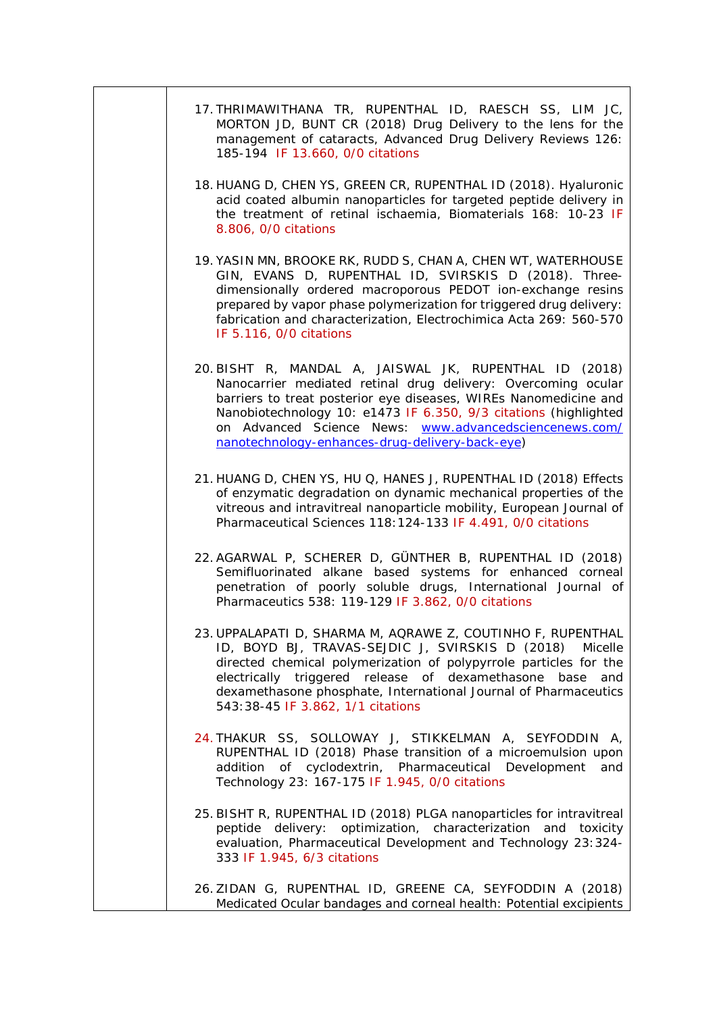| 17. THRIMAWITHANA TR, RUPENTHAL ID, RAESCH SS, LIM JC,<br>MORTON JD, BUNT CR (2018) Drug Delivery to the lens for the<br>management of cataracts, Advanced Drug Delivery Reviews 126:<br>185-194 IF 13.660, 0/0 citations                                                                                                                                                    |
|------------------------------------------------------------------------------------------------------------------------------------------------------------------------------------------------------------------------------------------------------------------------------------------------------------------------------------------------------------------------------|
| 18. HUANG D, CHEN YS, GREEN CR, RUPENTHAL ID (2018). Hyaluronic<br>acid coated albumin nanoparticles for targeted peptide delivery in<br>the treatment of retinal ischaemia, Biomaterials 168: 10-23 IF<br>8.806, 0/0 citations                                                                                                                                              |
| 19. YASIN MN, BROOKE RK, RUDD S, CHAN A, CHEN WT, WATERHOUSE<br>GIN, EVANS D, RUPENTHAL ID, SVIRSKIS D (2018). Three-<br>dimensionally ordered macroporous PEDOT ion-exchange resins<br>prepared by vapor phase polymerization for triggered drug delivery:<br>fabrication and characterization, Electrochimica Acta 269: 560-570<br>IF 5.116, 0/0 citations                 |
| 20. BISHT R, MANDAL A, JAISWAL JK, RUPENTHAL ID (2018)<br>Nanocarrier mediated retinal drug delivery: Overcoming ocular<br>barriers to treat posterior eye diseases, WIREs Nanomedicine and<br>Nanobiotechnology 10: e1473 IF 6.350, 9/3 citations (highlighted<br>on Advanced Science News: www.advancedsciencenews.com/<br>nanotechnology-enhances-drug-delivery-back-eye) |
| 21. HUANG D, CHEN YS, HU Q, HANES J, RUPENTHAL ID (2018) Effects<br>of enzymatic degradation on dynamic mechanical properties of the<br>vitreous and intravitreal nanoparticle mobility, European Journal of<br>Pharmaceutical Sciences 118:124-133 IF 4.491, 0/0 citations                                                                                                  |
| 22. AGARWAL P, SCHERER D, GÜNTHER B, RUPENTHAL ID (2018)<br>Semifluorinated alkane based systems for enhanced corneal<br>penetration of poorly soluble drugs, International Journal of<br>Pharmaceutics 538: 119-129 IF 3.862, 0/0 citations                                                                                                                                 |
| 23. UPPALAPATI D, SHARMA M, AQRAWE Z, COUTINHO F, RUPENTHAL<br>ID, BOYD BJ, TRAVAS-SEJDIC J, SVIRSKIS D (2018) Micelle<br>directed chemical polymerization of polypyrrole particles for the<br>electrically triggered release of dexamethasone<br>base<br>and<br>dexamethasone phosphate, International Journal of Pharmaceutics<br>543:38-45 IF 3.862, 1/1 citations        |
| 24. THAKUR SS, SOLLOWAY J, STIKKELMAN A, SEYFODDIN A,<br>RUPENTHAL ID (2018) Phase transition of a microemulsion upon<br>addition of cyclodextrin, Pharmaceutical Development<br>and<br>Technology 23: 167-175 IF 1.945, 0/0 citations                                                                                                                                       |
| 25. BISHT R, RUPENTHAL ID (2018) PLGA nanoparticles for intravitreal<br>peptide delivery: optimization, characterization and toxicity<br>evaluation, Pharmaceutical Development and Technology 23:324-<br>333 IF 1.945, 6/3 citations                                                                                                                                        |
| 26. ZIDAN G, RUPENTHAL ID, GREENE CA, SEYFODDIN A (2018)<br>Medicated Ocular bandages and corneal health: Potential excipients                                                                                                                                                                                                                                               |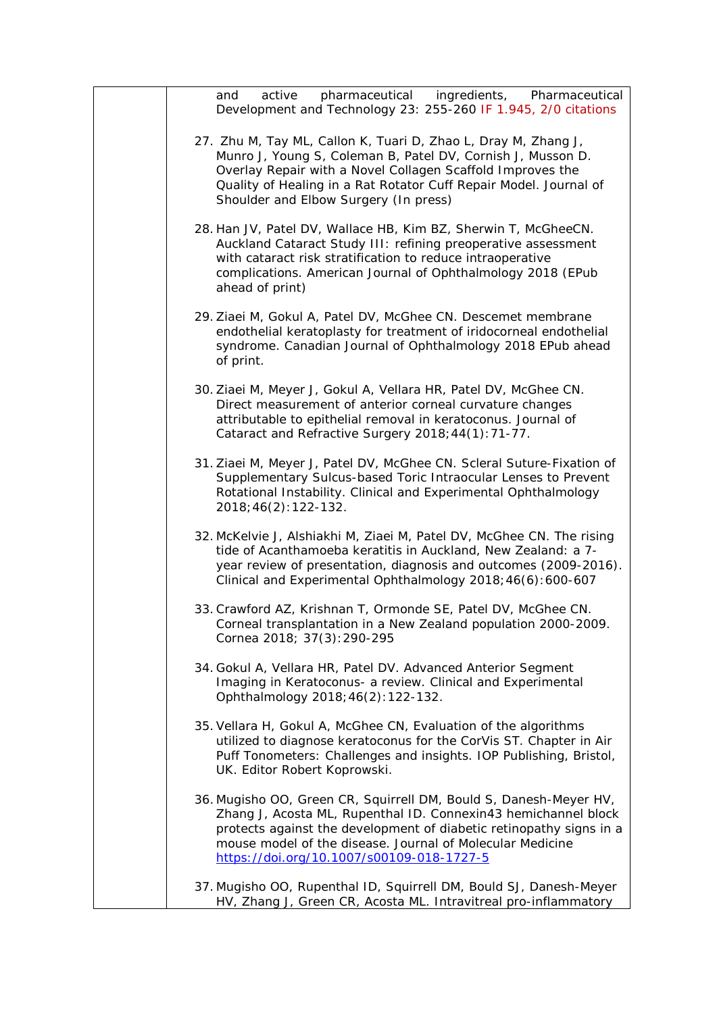| pharmaceutical ingredients, Pharmaceutical<br>active<br>and<br>Development and Technology 23: 255-260 IF 1.945, 2/0 citations                                                                                                                                                                                        |
|----------------------------------------------------------------------------------------------------------------------------------------------------------------------------------------------------------------------------------------------------------------------------------------------------------------------|
| 27. Zhu M, Tay ML, Callon K, Tuari D, Zhao L, Dray M, Zhang J,<br>Munro J, Young S, Coleman B, Patel DV, Cornish J, Musson D.<br>Overlay Repair with a Novel Collagen Scaffold Improves the<br>Quality of Healing in a Rat Rotator Cuff Repair Model. Journal of<br>Shoulder and Elbow Surgery (In press)            |
| 28. Han JV, Patel DV, Wallace HB, Kim BZ, Sherwin T, McGheeCN.<br>Auckland Cataract Study III: refining preoperative assessment<br>with cataract risk stratification to reduce intraoperative<br>complications. American Journal of Ophthalmology 2018 (EPub<br>ahead of print)                                      |
| 29. Ziaei M, Gokul A, Patel DV, McGhee CN. Descemet membrane<br>endothelial keratoplasty for treatment of iridocorneal endothelial<br>syndrome. Canadian Journal of Ophthalmology 2018 EPub ahead<br>of print.                                                                                                       |
| 30. Ziaei M, Meyer J, Gokul A, Vellara HR, Patel DV, McGhee CN.<br>Direct measurement of anterior corneal curvature changes<br>attributable to epithelial removal in keratoconus. Journal of<br>Cataract and Refractive Surgery 2018; 44(1): 71-77.                                                                  |
| 31. Ziaei M, Meyer J, Patel DV, McGhee CN. Scleral Suture-Fixation of<br>Supplementary Sulcus-based Toric Intraocular Lenses to Prevent<br>Rotational Instability. Clinical and Experimental Ophthalmology<br>2018; 46(2): 122-132.                                                                                  |
| 32. McKelvie J, Alshiakhi M, Ziaei M, Patel DV, McGhee CN. The rising<br>tide of Acanthamoeba keratitis in Auckland, New Zealand: a 7-<br>year review of presentation, diagnosis and outcomes (2009-2016).<br>Clinical and Experimental Ophthalmology 2018; 46(6): 600-607                                           |
| 33. Crawford AZ, Krishnan T, Ormonde SE, Patel DV, McGhee CN.<br>Corneal transplantation in a New Zealand population 2000-2009.<br>Cornea 2018; 37(3): 290-295                                                                                                                                                       |
| 34. Gokul A, Vellara HR, Patel DV. Advanced Anterior Segment<br>Imaging in Keratoconus- a review. Clinical and Experimental<br>Ophthalmology 2018; 46(2): 122-132.                                                                                                                                                   |
| 35. Vellara H, Gokul A, McGhee CN, Evaluation of the algorithms<br>utilized to diagnose keratoconus for the CorVis ST. Chapter in Air<br>Puff Tonometers: Challenges and insights. IOP Publishing, Bristol,<br>UK. Editor Robert Koprowski.                                                                          |
| 36. Mugisho OO, Green CR, Squirrell DM, Bould S, Danesh-Meyer HV,<br>Zhang J, Acosta ML, Rupenthal ID. Connexin43 hemichannel block<br>protects against the development of diabetic retinopathy signs in a<br>mouse model of the disease. Journal of Molecular Medicine<br>https://doi.org/10.1007/s00109-018-1727-5 |
| 37. Mugisho OO, Rupenthal ID, Squirrell DM, Bould SJ, Danesh-Meyer<br>HV, Zhang J, Green CR, Acosta ML. Intravitreal pro-inflammatory                                                                                                                                                                                |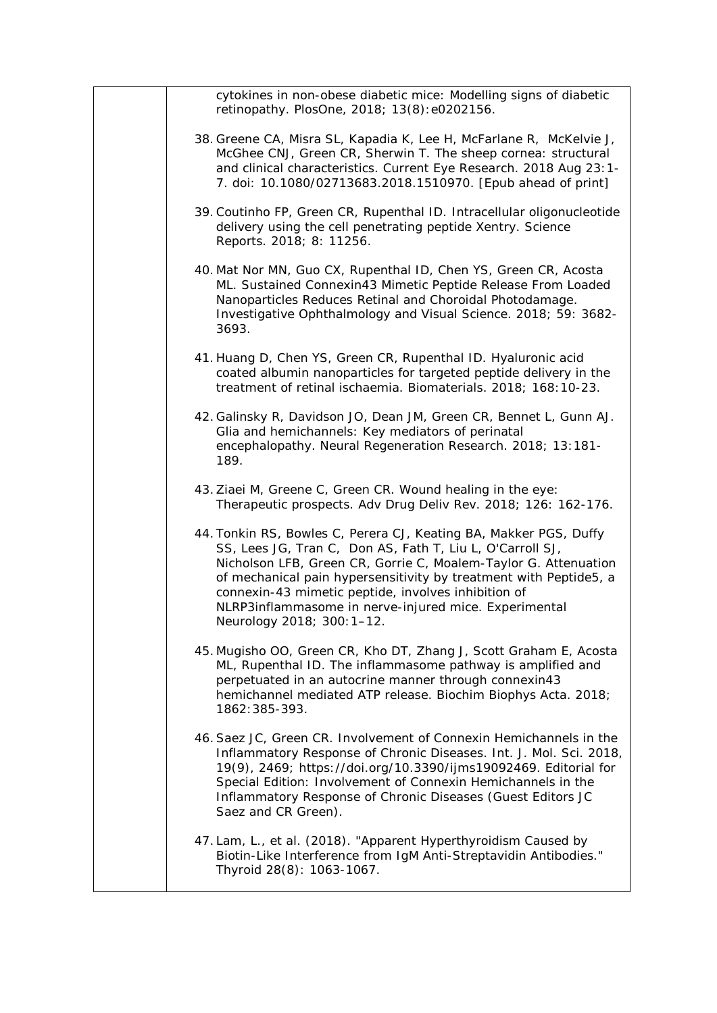| cytokines in non-obese diabetic mice: Modelling signs of diabetic<br>retinopathy. PlosOne, 2018; 13(8): e0202156.                                                                                                                                                                                                                                                                                                   |
|---------------------------------------------------------------------------------------------------------------------------------------------------------------------------------------------------------------------------------------------------------------------------------------------------------------------------------------------------------------------------------------------------------------------|
| 38. Greene CA, Misra SL, Kapadia K, Lee H, McFarlane R, McKelvie J,<br>McGhee CNJ, Green CR, Sherwin T. The sheep cornea: structural<br>and clinical characteristics. Current Eye Research. 2018 Aug 23:1-<br>7. doi: 10.1080/02713683.2018.1510970. [Epub ahead of print]                                                                                                                                          |
| 39. Coutinho FP, Green CR, Rupenthal ID. Intracellular oligonucleotide<br>delivery using the cell penetrating peptide Xentry. Science<br>Reports. 2018; 8: 11256.                                                                                                                                                                                                                                                   |
| 40. Mat Nor MN, Guo CX, Rupenthal ID, Chen YS, Green CR, Acosta<br>ML. Sustained Connexin43 Mimetic Peptide Release From Loaded<br>Nanoparticles Reduces Retinal and Choroidal Photodamage.<br>Investigative Ophthalmology and Visual Science. 2018; 59: 3682-<br>3693.                                                                                                                                             |
| 41. Huang D, Chen YS, Green CR, Rupenthal ID. Hyaluronic acid<br>coated albumin nanoparticles for targeted peptide delivery in the<br>treatment of retinal ischaemia. Biomaterials. 2018; 168:10-23.                                                                                                                                                                                                                |
| 42. Galinsky R, Davidson JO, Dean JM, Green CR, Bennet L, Gunn AJ.<br>Glia and hemichannels: Key mediators of perinatal<br>encephalopathy. Neural Regeneration Research. 2018; 13:181-<br>189.                                                                                                                                                                                                                      |
| 43. Ziaei M, Greene C, Green CR. Wound healing in the eye:<br>Therapeutic prospects. Adv Drug Deliv Rev. 2018; 126: 162-176.                                                                                                                                                                                                                                                                                        |
| 44. Tonkin RS, Bowles C, Perera CJ, Keating BA, Makker PGS, Duffy<br>SS, Lees JG, Tran C, Don AS, Fath T, Liu L, O'Carroll SJ,<br>Nicholson LFB, Green CR, Gorrie C, Moalem-Taylor G. Attenuation<br>of mechanical pain hypersensitivity by treatment with Peptide5, a<br>connexin-43 mimetic peptide, involves inhibition of<br>NLRP3inflammasome in nerve-injured mice. Experimental<br>Neurology 2018; 300:1-12. |
| 45. Mugisho OO, Green CR, Kho DT, Zhang J, Scott Graham E, Acosta<br>ML, Rupenthal ID. The inflammasome pathway is amplified and<br>perpetuated in an autocrine manner through connexin43<br>hemichannel mediated ATP release. Biochim Biophys Acta. 2018;<br>1862: 385-393.                                                                                                                                        |
| 46. Saez JC, Green CR. Involvement of Connexin Hemichannels in the<br>Inflammatory Response of Chronic Diseases. Int. J. Mol. Sci. 2018,<br>19(9), 2469; https://doi.org/10.3390/ijms19092469. Editorial for<br>Special Edition: Involvement of Connexin Hemichannels in the<br>Inflammatory Response of Chronic Diseases (Guest Editors JC<br>Saez and CR Green).                                                  |
| 47. Lam, L., et al. (2018). "Apparent Hyperthyroidism Caused by<br>Biotin-Like Interference from IgM Anti-Streptavidin Antibodies."<br>Thyroid 28(8): 1063-1067.                                                                                                                                                                                                                                                    |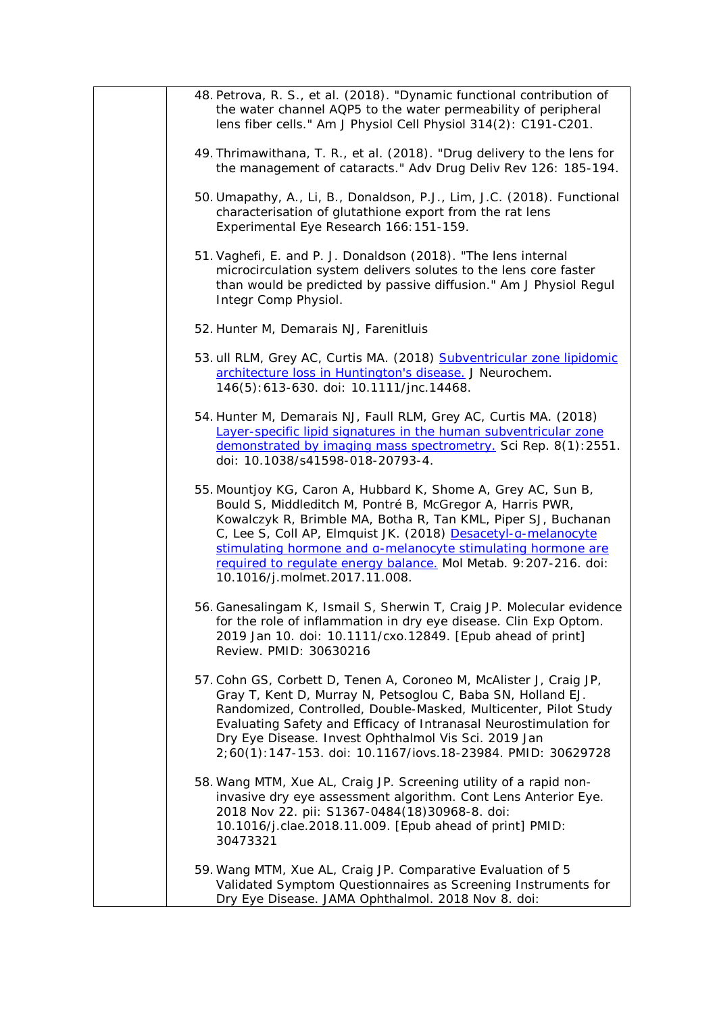| 48. Petrova, R. S., et al. (2018). "Dynamic functional contribution of<br>the water channel AQP5 to the water permeability of peripheral<br>lens fiber cells." Am J Physiol Cell Physiol 314(2): C191-C201.                                                                                                                                                                                                                      |
|----------------------------------------------------------------------------------------------------------------------------------------------------------------------------------------------------------------------------------------------------------------------------------------------------------------------------------------------------------------------------------------------------------------------------------|
| 49. Thrimawithana, T. R., et al. (2018). "Drug delivery to the lens for<br>the management of cataracts." Adv Drug Deliv Rev 126: 185-194.                                                                                                                                                                                                                                                                                        |
| 50. Umapathy, A., Li, B., Donaldson, P.J., Lim, J.C. (2018). Functional<br>characterisation of glutathione export from the rat lens<br>Experimental Eye Research 166: 151-159.                                                                                                                                                                                                                                                   |
| 51. Vaghefi, E. and P. J. Donaldson (2018). "The lens internal<br>microcirculation system delivers solutes to the lens core faster<br>than would be predicted by passive diffusion." Am J Physiol Regul<br>Integr Comp Physiol.                                                                                                                                                                                                  |
| 52. Hunter M, Demarais NJ, Farenitluis                                                                                                                                                                                                                                                                                                                                                                                           |
| 53. ull RLM, Grey AC, Curtis MA. (2018) Subventricular zone lipidomic<br>architecture loss in Huntington's disease. J Neurochem.<br>146(5):613-630. doi: 10.1111/jnc.14468.                                                                                                                                                                                                                                                      |
| 54. Hunter M, Demarais NJ, Faull RLM, Grey AC, Curtis MA. (2018)<br>Layer-specific lipid signatures in the human subventricular zone<br>demonstrated by imaging mass spectrometry. Sci Rep. 8(1):2551.<br>doi: 10.1038/s41598-018-20793-4.                                                                                                                                                                                       |
| 55. Mountjoy KG, Caron A, Hubbard K, Shome A, Grey AC, Sun B,<br>Bould S, Middleditch M, Pontré B, McGregor A, Harris PWR,<br>Kowalczyk R, Brimble MA, Botha R, Tan KML, Piper SJ, Buchanan<br>C, Lee S, Coll AP, Elmquist JK. (2018) Desacetyl-a-melanocyte<br>stimulating hormone and a-melanocyte stimulating hormone are<br>required to requlate energy balance. Mol Metab. 9:207-216. doi:<br>10.1016/j.molmet.2017.11.008. |
| 56. Ganesalingam K, Ismail S, Sherwin T, Craig JP. Molecular evidence<br>for the role of inflammation in dry eye disease. Clin Exp Optom.<br>2019 Jan 10. doi: 10.1111/cxo.12849. [Epub ahead of print]<br>Review. PMID: 30630216                                                                                                                                                                                                |
| 57. Cohn GS, Corbett D, Tenen A, Coroneo M, McAlister J, Craig JP,<br>Gray T, Kent D, Murray N, Petsoglou C, Baba SN, Holland EJ.<br>Randomized, Controlled, Double-Masked, Multicenter, Pilot Study<br>Evaluating Safety and Efficacy of Intranasal Neurostimulation for<br>Dry Eye Disease. Invest Ophthalmol Vis Sci. 2019 Jan<br>2;60(1):147-153. doi: 10.1167/iovs.18-23984. PMID: 30629728                                 |
| 58. Wang MTM, Xue AL, Craig JP. Screening utility of a rapid non-<br>invasive dry eye assessment algorithm. Cont Lens Anterior Eye.<br>2018 Nov 22. pii: S1367-0484(18)30968-8. doi:<br>10.1016/j.clae.2018.11.009. [Epub ahead of print] PMID:<br>30473321                                                                                                                                                                      |
| 59. Wang MTM, Xue AL, Craig JP. Comparative Evaluation of 5<br>Validated Symptom Questionnaires as Screening Instruments for<br>Dry Eye Disease. JAMA Ophthalmol. 2018 Nov 8. doi:                                                                                                                                                                                                                                               |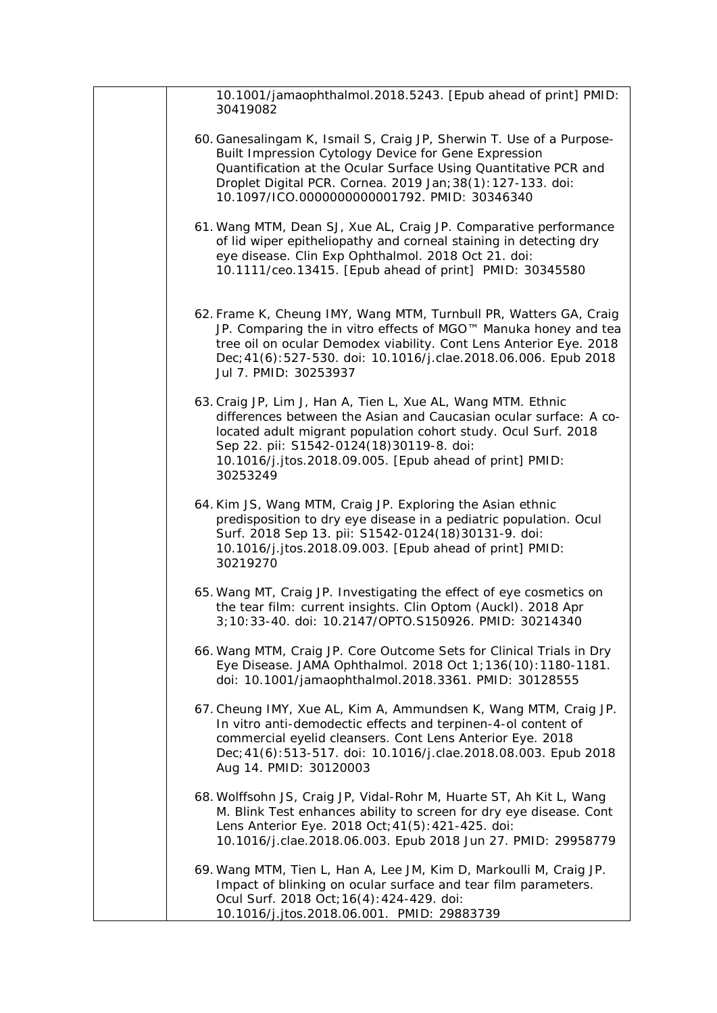| 10.1001/jamaophthalmol.2018.5243. [Epub ahead of print] PMID:<br>30419082                                                                                                                                                                                                                                              |
|------------------------------------------------------------------------------------------------------------------------------------------------------------------------------------------------------------------------------------------------------------------------------------------------------------------------|
| 60. Ganesalingam K, Ismail S, Craig JP, Sherwin T. Use of a Purpose-<br>Built Impression Cytology Device for Gene Expression<br>Quantification at the Ocular Surface Using Quantitative PCR and<br>Droplet Digital PCR. Cornea. 2019 Jan; 38(1): 127-133. doi:<br>10.1097/ICO.0000000000001792. PMID: 30346340         |
| 61. Wang MTM, Dean SJ, Xue AL, Craig JP. Comparative performance<br>of lid wiper epitheliopathy and corneal staining in detecting dry<br>eye disease. Clin Exp Ophthalmol. 2018 Oct 21. doi:<br>10.1111/ceo.13415. [Epub ahead of print] PMID: 30345580                                                                |
| 62. Frame K, Cheung IMY, Wang MTM, Turnbull PR, Watters GA, Craig<br>JP. Comparing the in vitro effects of MGO™ Manuka honey and tea<br>tree oil on ocular Demodex viability. Cont Lens Anterior Eye. 2018<br>Dec; 41(6): 527-530. doi: 10.1016/j.clae.2018.06.006. Epub 2018<br>Jul 7. PMID: 30253937                 |
| 63. Craig JP, Lim J, Han A, Tien L, Xue AL, Wang MTM. Ethnic<br>differences between the Asian and Caucasian ocular surface: A co-<br>located adult migrant population cohort study. Ocul Surf. 2018<br>Sep 22. pii: S1542-0124(18)30119-8. doi:<br>10.1016/j.jtos.2018.09.005. [Epub ahead of print] PMID:<br>30253249 |
| 64. Kim JS, Wang MTM, Craig JP. Exploring the Asian ethnic<br>predisposition to dry eye disease in a pediatric population. Ocul<br>Surf. 2018 Sep 13. pii: S1542-0124(18)30131-9. doi:<br>10.1016/j.jtos.2018.09.003. [Epub ahead of print] PMID:<br>30219270                                                          |
| 65. Wang MT, Craig JP. Investigating the effect of eye cosmetics on<br>the tear film: current insights. Clin Optom (Auckl). 2018 Apr<br>3;10:33-40. doi: 10.2147/OPTO.S150926. PMID: 30214340                                                                                                                          |
| 66. Wang MTM, Craig JP. Core Outcome Sets for Clinical Trials in Dry<br>Eye Disease. JAMA Ophthalmol. 2018 Oct 1;136(10):1180-1181.<br>doi: 10.1001/jamaophthalmol.2018.3361. PMID: 30128555                                                                                                                           |
| 67. Cheung IMY, Xue AL, Kim A, Ammundsen K, Wang MTM, Craig JP.<br>In vitro anti-demodectic effects and terpinen-4-ol content of<br>commercial eyelid cleansers. Cont Lens Anterior Eye. 2018<br>Dec; 41(6): 513-517. doi: 10.1016/j.clae.2018.08.003. Epub 2018<br>Aug 14. PMID: 30120003                             |
| 68. Wolffsohn JS, Craig JP, Vidal-Rohr M, Huarte ST, Ah Kit L, Wang<br>M. Blink Test enhances ability to screen for dry eye disease. Cont<br>Lens Anterior Eye. 2018 Oct; 41(5): 421-425. doi:<br>10.1016/j.clae.2018.06.003. Epub 2018 Jun 27. PMID: 29958779                                                         |
| 69. Wang MTM, Tien L, Han A, Lee JM, Kim D, Markoulli M, Craig JP.<br>Impact of blinking on ocular surface and tear film parameters.<br>Ocul Surf. 2018 Oct; 16(4): 424-429. doi:<br>10.1016/j.jtos.2018.06.001. PMID: 29883739                                                                                        |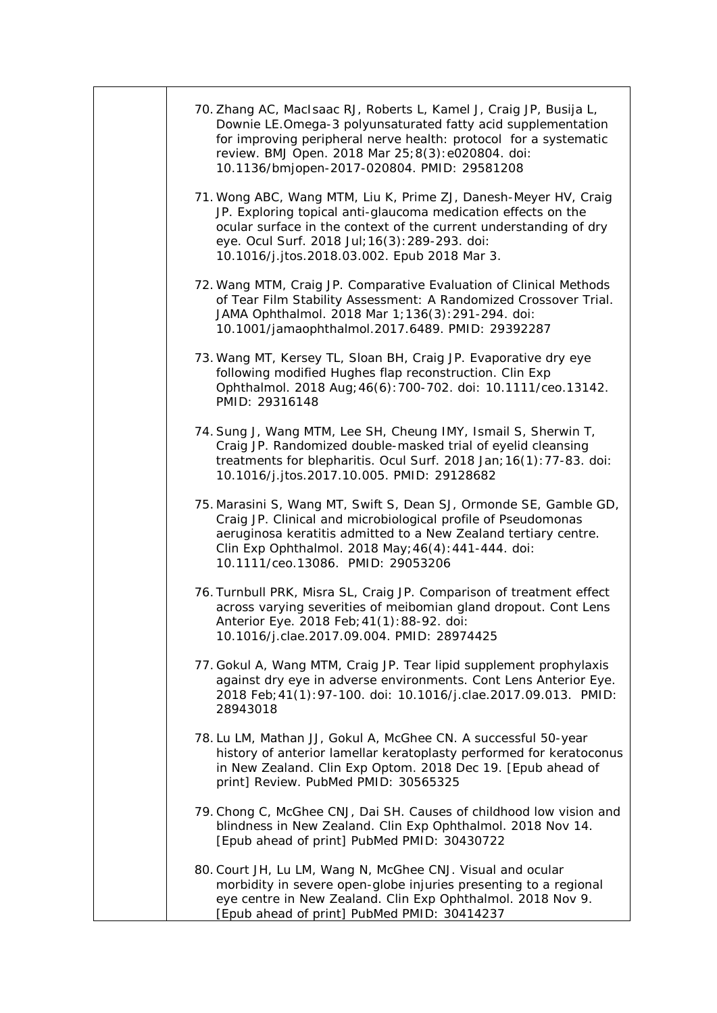| 70. Zhang AC, MacIsaac RJ, Roberts L, Kamel J, Craig JP, Busija L,<br>Downie LE.Omega-3 polyunsaturated fatty acid supplementation<br>for improving peripheral nerve health: protocol for a systematic<br>review. BMJ Open. 2018 Mar 25;8(3):e020804. doi:<br>10.1136/bmjopen-2017-020804. PMID: 29581208 |
|-----------------------------------------------------------------------------------------------------------------------------------------------------------------------------------------------------------------------------------------------------------------------------------------------------------|
| 71. Wong ABC, Wang MTM, Liu K, Prime ZJ, Danesh-Meyer HV, Craig<br>JP. Exploring topical anti-glaucoma medication effects on the<br>ocular surface in the context of the current understanding of dry<br>eye. Ocul Surf. 2018 Jul; 16(3): 289-293. doi:<br>10.1016/j.jtos.2018.03.002. Epub 2018 Mar 3.   |
| 72. Wang MTM, Craig JP. Comparative Evaluation of Clinical Methods<br>of Tear Film Stability Assessment: A Randomized Crossover Trial.<br>JAMA Ophthalmol. 2018 Mar 1; 136(3): 291-294. doi:<br>10.1001/jamaophthalmol.2017.6489. PMID: 29392287                                                          |
| 73. Wang MT, Kersey TL, Sloan BH, Craig JP. Evaporative dry eye<br>following modified Hughes flap reconstruction. Clin Exp<br>Ophthalmol. 2018 Aug; 46(6): 700-702. doi: 10.1111/ceo.13142.<br>PMID: 29316148                                                                                             |
| 74. Sung J, Wang MTM, Lee SH, Cheung IMY, Ismail S, Sherwin T,<br>Craig JP. Randomized double-masked trial of eyelid cleansing<br>treatments for blepharitis. Ocul Surf. 2018 Jan; 16(1): 77-83. doi:<br>10.1016/j.jtos.2017.10.005. PMID: 29128682                                                       |
| 75. Marasini S, Wang MT, Swift S, Dean SJ, Ormonde SE, Gamble GD,<br>Craig JP. Clinical and microbiological profile of Pseudomonas<br>aeruginosa keratitis admitted to a New Zealand tertiary centre.<br>Clin Exp Ophthalmol. 2018 May; 46(4): 441-444. doi:<br>10.1111/ceo.13086. PMID: 29053206         |
| 76. Turnbull PRK, Misra SL, Craig JP. Comparison of treatment effect<br>across varying severities of meibomian gland dropout. Cont Lens<br>Anterior Eye. 2018 Feb; 41(1): 88-92. doi:<br>10.1016/j.clae.2017.09.004. PMID: 28974425                                                                       |
| 77. Gokul A, Wang MTM, Craig JP. Tear lipid supplement prophylaxis<br>against dry eye in adverse environments. Cont Lens Anterior Eye.<br>2018 Feb; 41(1): 97-100. doi: 10.1016/j.clae.2017.09.013. PMID:<br>28943018                                                                                     |
| 78. Lu LM, Mathan JJ, Gokul A, McGhee CN. A successful 50-year<br>history of anterior lamellar keratoplasty performed for keratoconus<br>in New Zealand. Clin Exp Optom. 2018 Dec 19. [Epub ahead of<br>print] Review. PubMed PMID: 30565325                                                              |
| 79. Chong C, McGhee CNJ, Dai SH. Causes of childhood low vision and<br>blindness in New Zealand. Clin Exp Ophthalmol. 2018 Nov 14.<br>[Epub ahead of print] PubMed PMID: 30430722                                                                                                                         |
| 80. Court JH, Lu LM, Wang N, McGhee CNJ. Visual and ocular<br>morbidity in severe open-globe injuries presenting to a regional<br>eye centre in New Zealand. Clin Exp Ophthalmol. 2018 Nov 9.<br>[Epub ahead of print] PubMed PMID: 30414237                                                              |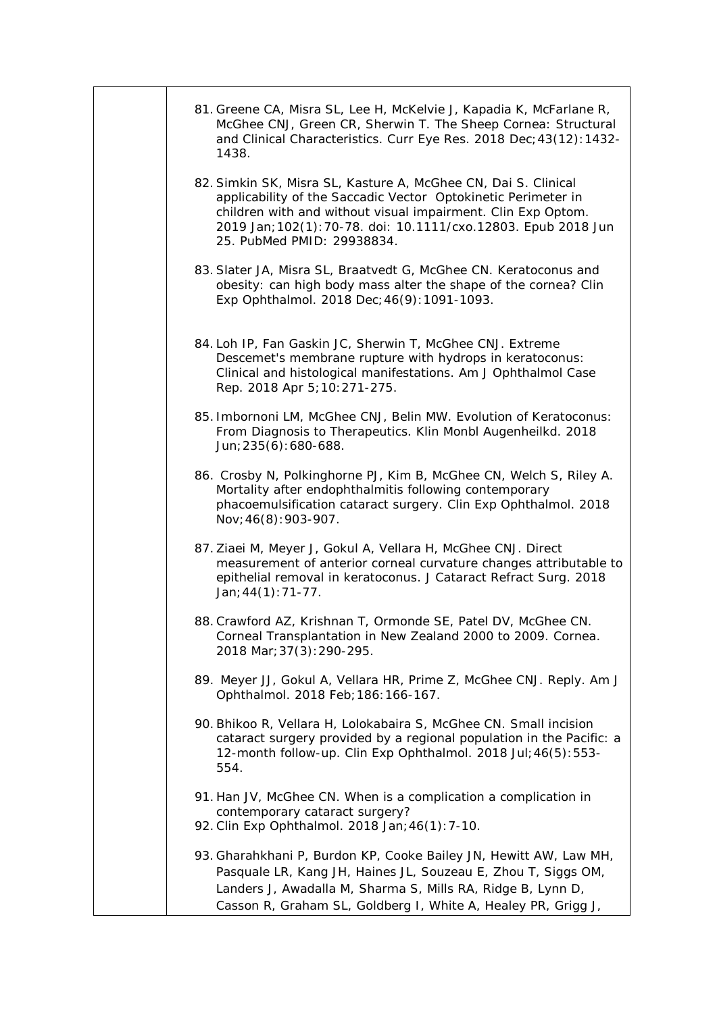| 81. Greene CA, Misra SL, Lee H, McKelvie J, Kapadia K, McFarlane R,<br>McGhee CNJ, Green CR, Sherwin T. The Sheep Cornea: Structural<br>and Clinical Characteristics. Curr Eye Res. 2018 Dec; 43(12): 1432-<br>1438.                                                                            |
|-------------------------------------------------------------------------------------------------------------------------------------------------------------------------------------------------------------------------------------------------------------------------------------------------|
| 82. Simkin SK, Misra SL, Kasture A, McGhee CN, Dai S. Clinical<br>applicability of the Saccadic Vector Optokinetic Perimeter in<br>children with and without visual impairment. Clin Exp Optom.<br>2019 Jan; 102(1): 70-78. doi: 10.1111/cxo.12803. Epub 2018 Jun<br>25. PubMed PMID: 29938834. |
| 83. Slater JA, Misra SL, Braatvedt G, McGhee CN. Keratoconus and<br>obesity: can high body mass alter the shape of the cornea? Clin<br>Exp Ophthalmol. 2018 Dec; 46(9): 1091-1093.                                                                                                              |
| 84. Loh IP, Fan Gaskin JC, Sherwin T, McGhee CNJ. Extreme<br>Descemet's membrane rupture with hydrops in keratoconus:<br>Clinical and histological manifestations. Am J Ophthalmol Case<br>Rep. 2018 Apr 5; 10: 271-275.                                                                        |
| 85. Imbornoni LM, McGhee CNJ, Belin MW. Evolution of Keratoconus:<br>From Diagnosis to Therapeutics. Klin Monbl Augenheilkd. 2018<br>Jun; 235(6): 680-688.                                                                                                                                      |
| 86. Crosby N, Polkinghorne PJ, Kim B, McGhee CN, Welch S, Riley A.<br>Mortality after endophthalmitis following contemporary<br>phacoemulsification cataract surgery. Clin Exp Ophthalmol. 2018<br>Nov; 46(8): 903-907.                                                                         |
| 87. Ziaei M, Meyer J, Gokul A, Vellara H, McGhee CNJ. Direct<br>measurement of anterior corneal curvature changes attributable to<br>epithelial removal in keratoconus. J Cataract Refract Surg. 2018<br>Jan; $44(1)$ : 71-77.                                                                  |
| 88. Crawford AZ, Krishnan T, Ormonde SE, Patel DV, McGhee CN.<br>Corneal Transplantation in New Zealand 2000 to 2009. Cornea.<br>2018 Mar; 37(3): 290-295.                                                                                                                                      |
| 89. Meyer JJ, Gokul A, Vellara HR, Prime Z, McGhee CNJ. Reply. Am J<br>Ophthalmol. 2018 Feb; 186: 166-167.                                                                                                                                                                                      |
| 90. Bhikoo R, Vellara H, Lolokabaira S, McGhee CN. Small incision<br>cataract surgery provided by a regional population in the Pacific: a<br>12-month follow-up. Clin Exp Ophthalmol. 2018 Jul; 46(5): 553-<br>554.                                                                             |
| 91. Han JV, McGhee CN. When is a complication a complication in<br>contemporary cataract surgery?<br>92. Clin Exp Ophthalmol. 2018 Jan; 46(1): 7-10.                                                                                                                                            |
| 93. Gharahkhani P, Burdon KP, Cooke Bailey JN, Hewitt AW, Law MH,<br>Pasquale LR, Kang JH, Haines JL, Souzeau E, Zhou T, Siggs OM,<br>Landers J, Awadalla M, Sharma S, Mills RA, Ridge B, Lynn D,<br>Casson R, Graham SL, Goldberg I, White A, Healey PR, Grigg J,                              |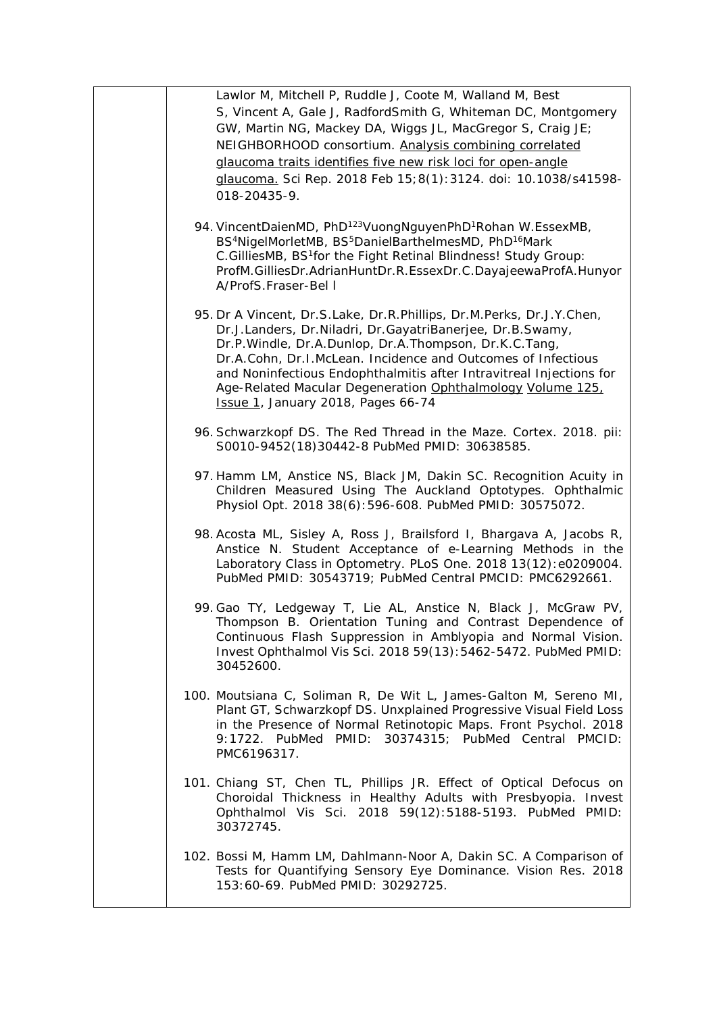| Lawlor M, Mitchell P, Ruddle J, Coote M, Walland M, Best<br>S, Vincent A, Gale J, RadfordSmith G, Whiteman DC, Montgomery<br>GW, Martin NG, Mackey DA, Wiggs JL, MacGregor S, Craig JE;<br>NEIGHBORHOOD consortium. Analysis combining correlated<br>glaucoma traits identifies five new risk loci for open-angle<br>glaucoma. Sci Rep. 2018 Feb 15;8(1):3124. doi: 10.1038/s41598-<br>018-20435-9.                                          |
|----------------------------------------------------------------------------------------------------------------------------------------------------------------------------------------------------------------------------------------------------------------------------------------------------------------------------------------------------------------------------------------------------------------------------------------------|
| 94. VincentDaienMD, PhD <sup>123</sup> VuongNguyenPhD <sup>1</sup> Rohan W.EssexMB,<br>BS <sup>4</sup> NigelMorletMB, BS <sup>5</sup> DanielBarthelmesMD, PhD <sup>16</sup> Mark<br>C.GilliesMB, BS <sup>1</sup> for the Fight Retinal Blindness! Study Group:<br>ProfM.GilliesDr.AdrianHuntDr.R.EssexDr.C.DayajeewaProfA.Hunyor<br>A/ProfS.Fraser-Bel I                                                                                     |
| 95. Dr A Vincent, Dr.S.Lake, Dr.R.Phillips, Dr.M.Perks, Dr.J.Y.Chen,<br>Dr.J.Landers, Dr.Niladri, Dr.GayatriBanerjee, Dr.B.Swamy,<br>Dr.P.Windle, Dr.A.Dunlop, Dr.A.Thompson, Dr.K.C.Tang,<br>Dr.A.Cohn, Dr.I.McLean. Incidence and Outcomes of Infectious<br>and Noninfectious Endophthalmitis after Intravitreal Injections for<br>Age-Related Macular Degeneration Ophthalmology Volume 125,<br><b>Issue 1, January 2018, Pages 66-74</b> |
| 96. Schwarzkopf DS. The Red Thread in the Maze. Cortex. 2018. pii:<br>S0010-9452(18)30442-8 PubMed PMID: 30638585.                                                                                                                                                                                                                                                                                                                           |
| 97. Hamm LM, Anstice NS, Black JM, Dakin SC. Recognition Acuity in<br>Children Measured Using The Auckland Optotypes. Ophthalmic<br>Physiol Opt. 2018 38(6): 596-608. PubMed PMID: 30575072.                                                                                                                                                                                                                                                 |
| 98. Acosta ML, Sisley A, Ross J, Brailsford I, Bhargava A, Jacobs R,<br>Anstice N. Student Acceptance of e-Learning Methods in the<br>Laboratory Class in Optometry. PLoS One. 2018 13(12): e0209004.<br>PubMed PMID: 30543719; PubMed Central PMCID: PMC6292661.                                                                                                                                                                            |
| 99. Gao TY, Ledgeway T, Lie AL, Anstice N, Black J, McGraw PV,<br>Thompson B. Orientation Tuning and Contrast Dependence of<br>Continuous Flash Suppression in Amblyopia and Normal Vision.<br>Invest Ophthalmol Vis Sci. 2018 59(13): 5462-5472. PubMed PMID:<br>30452600.                                                                                                                                                                  |
| 100. Moutsiana C, Soliman R, De Wit L, James-Galton M, Sereno MI,<br>Plant GT, Schwarzkopf DS. Unxplained Progressive Visual Field Loss<br>in the Presence of Normal Retinotopic Maps. Front Psychol. 2018<br>9:1722. PubMed PMID: 30374315; PubMed Central PMCID:<br>PMC6196317.                                                                                                                                                            |
| 101. Chiang ST, Chen TL, Phillips JR. Effect of Optical Defocus on<br>Choroidal Thickness in Healthy Adults with Presbyopia. Invest<br>Ophthalmol Vis Sci. 2018 59(12):5188-5193. PubMed PMID:<br>30372745.                                                                                                                                                                                                                                  |
| 102. Bossi M, Hamm LM, Dahlmann-Noor A, Dakin SC. A Comparison of<br>Tests for Quantifying Sensory Eye Dominance. Vision Res. 2018<br>153:60-69. PubMed PMID: 30292725.                                                                                                                                                                                                                                                                      |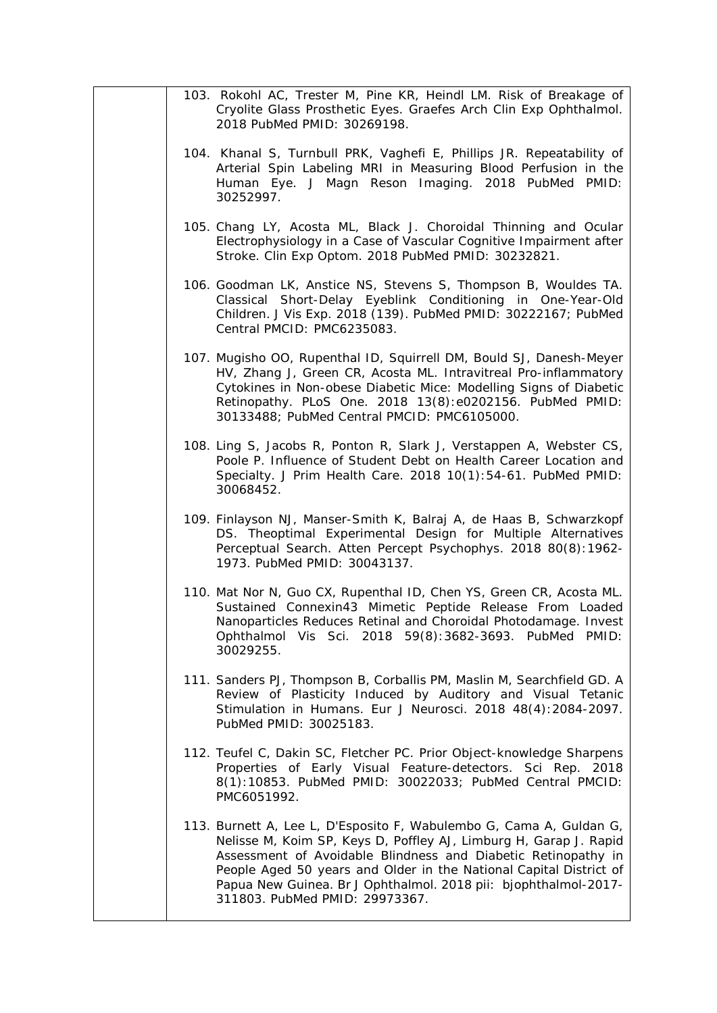| 103. Rokohl AC, Trester M, Pine KR, Heindl LM. Risk of Breakage of<br>Cryolite Glass Prosthetic Eyes. Graefes Arch Clin Exp Ophthalmol.<br>2018 PubMed PMID: 30269198.                                                                                                                                                                                                               |
|--------------------------------------------------------------------------------------------------------------------------------------------------------------------------------------------------------------------------------------------------------------------------------------------------------------------------------------------------------------------------------------|
| 104. Khanal S, Turnbull PRK, Vaghefi E, Phillips JR. Repeatability of<br>Arterial Spin Labeling MRI in Measuring Blood Perfusion in the<br>Human Eye. J Magn Reson Imaging. 2018 PubMed PMID:<br>30252997.                                                                                                                                                                           |
| 105. Chang LY, Acosta ML, Black J. Choroidal Thinning and Ocular<br>Electrophysiology in a Case of Vascular Cognitive Impairment after<br>Stroke. Clin Exp Optom. 2018 PubMed PMID: 30232821.                                                                                                                                                                                        |
| 106. Goodman LK, Anstice NS, Stevens S, Thompson B, Wouldes TA.<br>Classical Short-Delay Eyeblink Conditioning in One-Year-Old<br>Children. J Vis Exp. 2018 (139). PubMed PMID: 30222167; PubMed<br>Central PMCID: PMC6235083.                                                                                                                                                       |
| 107. Mugisho OO, Rupenthal ID, Squirrell DM, Bould SJ, Danesh-Meyer<br>HV, Zhang J, Green CR, Acosta ML. Intravitreal Pro-inflammatory<br>Cytokines in Non-obese Diabetic Mice: Modelling Signs of Diabetic<br>Retinopathy. PLoS One. 2018 13(8):e0202156. PubMed PMID:<br>30133488; PubMed Central PMCID: PMC6105000.                                                               |
| 108. Ling S, Jacobs R, Ponton R, Slark J, Verstappen A, Webster CS,<br>Poole P. Influence of Student Debt on Health Career Location and<br>Specialty. J Prim Health Care. 2018 10(1):54-61. PubMed PMID:<br>30068452.                                                                                                                                                                |
| 109. Finlayson NJ, Manser-Smith K, Balraj A, de Haas B, Schwarzkopf<br>DS. Theoptimal Experimental Design for Multiple Alternatives<br>Perceptual Search. Atten Percept Psychophys. 2018 80(8):1962-<br>1973. PubMed PMID: 30043137.                                                                                                                                                 |
| 110. Mat Nor N, Guo CX, Rupenthal ID, Chen YS, Green CR, Acosta ML.<br>Sustained Connexin43 Mimetic Peptide Release From Loaded<br>Nanoparticles Reduces Retinal and Choroidal Photodamage. Invest<br>Ophthalmol Vis Sci. 2018 59(8):3682-3693. PubMed PMID:<br>30029255.                                                                                                            |
| 111. Sanders PJ, Thompson B, Corballis PM, Maslin M, Searchfield GD. A<br>Review of Plasticity Induced by Auditory and Visual Tetanic<br>Stimulation in Humans. Eur J Neurosci. 2018 48(4): 2084-2097.<br>PubMed PMID: 30025183.                                                                                                                                                     |
| 112. Teufel C, Dakin SC, Fletcher PC. Prior Object-knowledge Sharpens<br>Properties of Early Visual Feature-detectors. Sci Rep. 2018<br>8(1):10853. PubMed PMID: 30022033; PubMed Central PMCID:<br>PMC6051992.                                                                                                                                                                      |
| 113. Burnett A, Lee L, D'Esposito F, Wabulembo G, Cama A, Guldan G,<br>Nelisse M, Koim SP, Keys D, Poffley AJ, Limburg H, Garap J. Rapid<br>Assessment of Avoidable Blindness and Diabetic Retinopathy in<br>People Aged 50 years and Older in the National Capital District of<br>Papua New Guinea. Br J Ophthalmol. 2018 pii: bjophthalmol-2017-<br>311803. PubMed PMID: 29973367. |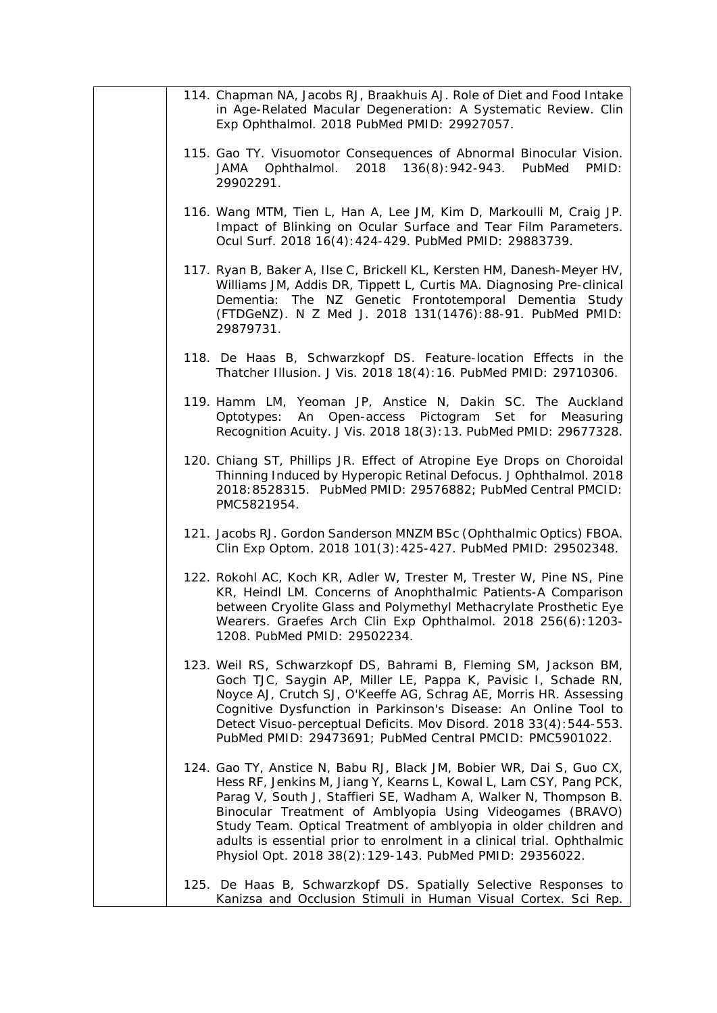| 114. Chapman NA, Jacobs RJ, Braakhuis AJ. Role of Diet and Food Intake<br>in Age-Related Macular Degeneration: A Systematic Review. Clin<br>Exp Ophthalmol. 2018 PubMed PMID: 29927057.                                                                                                                                                                                                                                                                                             |
|-------------------------------------------------------------------------------------------------------------------------------------------------------------------------------------------------------------------------------------------------------------------------------------------------------------------------------------------------------------------------------------------------------------------------------------------------------------------------------------|
| 115. Gao TY. Visuomotor Consequences of Abnormal Binocular Vision.<br>JAMA Ophthalmol.<br>2018 136(8):942-943. PubMed<br>PMID:<br>29902291.                                                                                                                                                                                                                                                                                                                                         |
| 116. Wang MTM, Tien L, Han A, Lee JM, Kim D, Markoulli M, Craig JP.<br>Impact of Blinking on Ocular Surface and Tear Film Parameters.<br>Ocul Surf. 2018 16(4): 424-429. PubMed PMID: 29883739.                                                                                                                                                                                                                                                                                     |
| 117. Ryan B, Baker A, Ilse C, Brickell KL, Kersten HM, Danesh-Meyer HV,<br>Williams JM, Addis DR, Tippett L, Curtis MA. Diagnosing Pre-clinical<br>Dementia: The NZ Genetic Frontotemporal Dementia Study<br>(FTDGeNZ). N Z Med J. 2018 131(1476):88-91. PubMed PMID:<br>29879731.                                                                                                                                                                                                  |
| 118. De Haas B, Schwarzkopf DS. Feature-location Effects in the<br>Thatcher Illusion. J Vis. 2018 18(4): 16. PubMed PMID: 29710306.                                                                                                                                                                                                                                                                                                                                                 |
| 119. Hamm LM, Yeoman JP, Anstice N, Dakin SC. The Auckland<br>An Open-access Pictogram Set for Measuring<br>Optotypes:<br>Recognition Acuity. J Vis. 2018 18(3): 13. PubMed PMID: 29677328.                                                                                                                                                                                                                                                                                         |
| 120. Chiang ST, Phillips JR. Effect of Atropine Eye Drops on Choroidal<br>Thinning Induced by Hyperopic Retinal Defocus. J Ophthalmol. 2018<br>2018:8528315. PubMed PMID: 29576882; PubMed Central PMCID:<br>PMC5821954.                                                                                                                                                                                                                                                            |
| 121. Jacobs RJ. Gordon Sanderson MNZM BSc (Ophthalmic Optics) FBOA.<br>Clin Exp Optom. 2018 101(3): 425-427. PubMed PMID: 29502348.                                                                                                                                                                                                                                                                                                                                                 |
| 122. Rokohl AC, Koch KR, Adler W, Trester M, Trester W, Pine NS, Pine<br>KR, Heindl LM. Concerns of Anophthalmic Patients-A Comparison<br>between Cryolite Glass and Polymethyl Methacrylate Prosthetic Eye<br>Wearers. Graefes Arch Clin Exp Ophthalmol. 2018 256(6):1203-<br>1208. PubMed PMID: 29502234.                                                                                                                                                                         |
| 123. Weil RS, Schwarzkopf DS, Bahrami B, Fleming SM, Jackson BM,<br>Goch TJC, Saygin AP, Miller LE, Pappa K, Pavisic I, Schade RN,<br>Noyce AJ, Crutch SJ, O'Keeffe AG, Schrag AE, Morris HR. Assessing<br>Cognitive Dysfunction in Parkinson's Disease: An Online Tool to<br>Detect Visuo-perceptual Deficits. Mov Disord. 2018 33(4): 544-553.<br>PubMed PMID: 29473691; PubMed Central PMCID: PMC5901022.                                                                        |
| 124. Gao TY, Anstice N, Babu RJ, Black JM, Bobier WR, Dai S, Guo CX,<br>Hess RF, Jenkins M, Jiang Y, Kearns L, Kowal L, Lam CSY, Pang PCK,<br>Parag V, South J, Staffieri SE, Wadham A, Walker N, Thompson B.<br>Binocular Treatment of Amblyopia Using Videogames (BRAVO)<br>Study Team. Optical Treatment of amblyopia in older children and<br>adults is essential prior to enrolment in a clinical trial. Ophthalmic<br>Physiol Opt. 2018 38(2):129-143. PubMed PMID: 29356022. |
| 125. De Haas B, Schwarzkopf DS. Spatially Selective Responses to<br>Kanizsa and Occlusion Stimuli in Human Visual Cortex. Sci Rep.                                                                                                                                                                                                                                                                                                                                                  |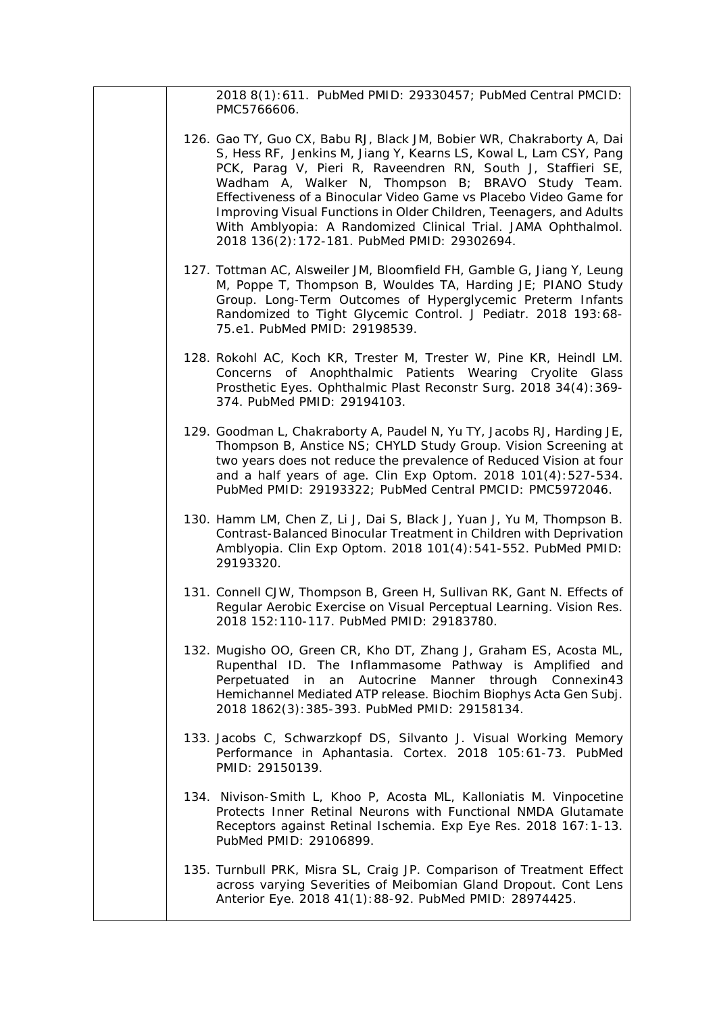2018 8(1):611. PubMed PMID: 29330457; PubMed Central PMCID: PMC5766606.

- 126. Gao TY, Guo CX, Babu RJ, Black JM, Bobier WR, Chakraborty A, Dai S, Hess RF, Jenkins M, Jiang Y, Kearns LS, Kowal L, Lam CSY, Pang PCK, Parag V, Pieri R, Raveendren RN, South J, Staffieri SE, Wadham A, Walker N, Thompson B; BRAVO Study Team. Effectiveness of a Binocular Video Game vs Placebo Video Game for Improving Visual Functions in Older Children, Teenagers, and Adults With Amblyopia: A Randomized Clinical Trial*. JAMA Ophthalmol.* 2018 136(2):172-181. PubMed PMID: 29302694.
- 127. Tottman AC, Alsweiler JM, Bloomfield FH, Gamble G, Jiang Y, Leung M, Poppe T, Thompson B, Wouldes TA, Harding JE; PIANO Study Group. Long-Term Outcomes of Hyperglycemic Preterm Infants Randomized to Tight Glycemic Control*. J Pediatr.* 2018 193:68- 75.e1. PubMed PMID: 29198539.
- 128. Rokohl AC, Koch KR, Trester M, Trester W, Pine KR, Heindl LM. Concerns of Anophthalmic Patients Wearing Cryolite Glass Prosthetic Eyes. *Ophthalmic Plast Reconstr Surg.* 2018 34(4):369- 374. PubMed PMID: 29194103.
- 129. Goodman L, Chakraborty A, Paudel N, Yu TY, Jacobs RJ, Harding JE, Thompson B, Anstice NS; CHYLD Study Group. Vision Screening at two years does not reduce the prevalence of Reduced Vision at four and a half years of age. *Clin Exp Optom.* 2018 101(4):527-534. PubMed PMID: 29193322; PubMed Central PMCID: PMC5972046.
- 130. Hamm LM, Chen Z, Li J, Dai S, Black J, Yuan J, Yu M, Thompson B. Contrast-Balanced Binocular Treatment in Children with Deprivation Amblyopia. *Clin Exp Optom.* 2018 101(4):541-552. PubMed PMID: 29193320.
- 131. Connell CJW, Thompson B, Green H, Sullivan RK, Gant N. Effects of Regular Aerobic Exercise on Visual Perceptual Learning. *Vision Res.* 2018 152:110-117. PubMed PMID: 29183780.
- 132. Mugisho OO, Green CR, Kho DT, Zhang J, Graham ES, Acosta ML, Rupenthal ID. The Inflammasome Pathway is Amplified and Perpetuated in an Autocrine Manner through Connexin43 Hemichannel Mediated ATP release. *Biochim Biophys Acta Gen Subj.* 2018 1862(3):385-393. PubMed PMID: 29158134.
- 133. Jacobs C, Schwarzkopf DS, Silvanto J. Visual Working Memory Performance in Aphantasia. *Cortex.* 2018 105:61-73. PubMed PMID: 29150139.
- 134. Nivison-Smith L, Khoo P, Acosta ML, Kalloniatis M. Vinpocetine Protects Inner Retinal Neurons with Functional NMDA Glutamate Receptors against Retinal Ischemia. *Exp Eye Res.* 2018 167:1-13. PubMed PMID: 29106899.
- 135. Turnbull PRK, Misra SL, Craig JP. Comparison of Treatment Effect across varying Severities of Meibomian Gland Dropout. *Cont Lens Anterior Eye*. 2018 41(1):88-92. PubMed PMID: 28974425.